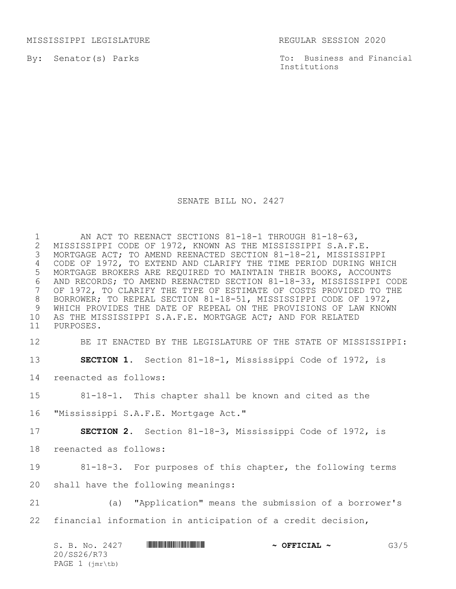MISSISSIPPI LEGISLATURE REGULAR SESSION 2020

By: Senator(s) Parks

To: Business and Financial Institutions

## SENATE BILL NO. 2427

1 MI ACT TO REENACT SECTIONS 81-18-1 THROUGH 81-18-63,<br>2 MISSISSIPPI CODE OF 1972, KNOWN AS THE MISSISSIPPI S.A.F. 2 MISSISSIPPI CODE OF 1972, KNOWN AS THE MISSISSIPPI S.A.F.E.<br>3 MORTGAGE ACT; TO AMEND REENACTED SECTION 81-18-21, MISSISSI 3 MORTGAGE ACT; TO AMEND REENACTED SECTION 81-18-21, MISSISSIPPI 4 CODE OF 1972, TO EXTEND AND CLARIFY THE TIME PERIOD DURING WHICH 5 MORTGAGE BROKERS ARE REQUIRED TO MAINTAIN THEIR BOOKS, ACCOUNTS 6 AND RECORDS; TO AMEND REENACTED SECTION 81-18-33, MISSISSIPPI CODE<br>7 OF 1972, TO CLARIFY THE TYPE OF ESTIMATE OF COSTS PROVIDED TO THE OF 1972, TO CLARIFY THE TYPE OF ESTIMATE OF COSTS PROVIDED TO THE 8 BORROWER; TO REPEAL SECTION 81-18-51, MISSISSIPPI CODE OF 1972, 9 WHICH PROVIDES THE DATE OF REPEAL ON THE PROVISIONS OF LAW KNOWN<br>10 AS THE MISSISSIPPI S.A.F.E. MORTGAGE ACT; AND FOR RELATED AS THE MISSISSIPPI S.A.F.E. MORTGAGE ACT; AND FOR RELATED 11 PURPOSES.

12 BE IT ENACTED BY THE LEGISLATURE OF THE STATE OF MISSISSIPPI:

13 **SECTION 1.** Section 81-18-1, Mississippi Code of 1972, is

14 reenacted as follows:

15 81-18-1. This chapter shall be known and cited as the

16 "Mississippi S.A.F.E. Mortgage Act."

17 **SECTION 2.** Section 81-18-3, Mississippi Code of 1972, is

18 reenacted as follows:

19 81-18-3. For purposes of this chapter, the following terms

20 shall have the following meanings:

21 (a) "Application" means the submission of a borrower's 22 financial information in anticipation of a credit decision,

| S. B. No. 2427  | <u> III di kacamatan ing Kabupatèn III di Kabupatèn III di Kabupatèn III di Kabupatèn III di Kabupatèn III di Ka</u> | $\sim$ OFFICIAL $\sim$ | G3/5 |
|-----------------|----------------------------------------------------------------------------------------------------------------------|------------------------|------|
| 20/SS26/R73     |                                                                                                                      |                        |      |
| PAGE 1 (jmr\tb) |                                                                                                                      |                        |      |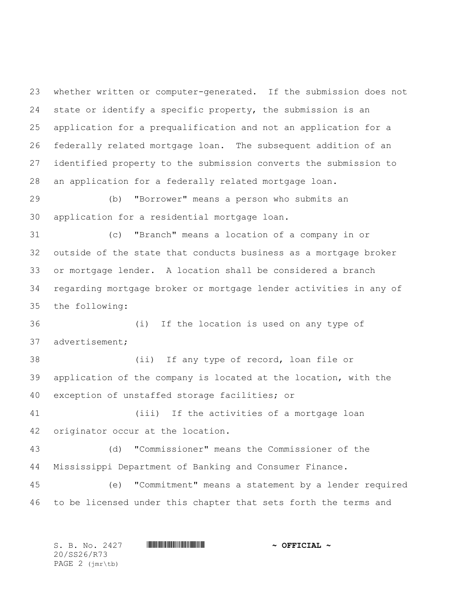whether written or computer-generated. If the submission does not state or identify a specific property, the submission is an application for a prequalification and not an application for a federally related mortgage loan. The subsequent addition of an identified property to the submission converts the submission to an application for a federally related mortgage loan.

 (b) "Borrower" means a person who submits an application for a residential mortgage loan.

 (c) "Branch" means a location of a company in or outside of the state that conducts business as a mortgage broker or mortgage lender. A location shall be considered a branch regarding mortgage broker or mortgage lender activities in any of the following:

 (i) If the location is used on any type of advertisement;

 (ii) If any type of record, loan file or application of the company is located at the location, with the exception of unstaffed storage facilities; or

 (iii) If the activities of a mortgage loan originator occur at the location.

 (d) "Commissioner" means the Commissioner of the Mississippi Department of Banking and Consumer Finance.

 (e) "Commitment" means a statement by a lender required to be licensed under this chapter that sets forth the terms and

S. B. No. 2427 **\*\*\* INSTERNAL # ^ OFFICIAL ~** 20/SS26/R73 PAGE 2 (jmr\tb)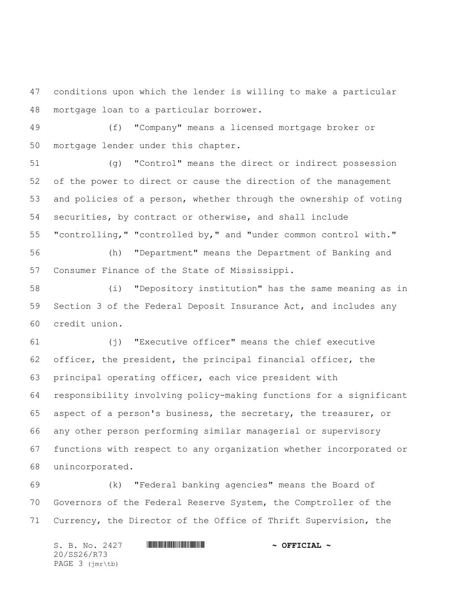conditions upon which the lender is willing to make a particular mortgage loan to a particular borrower.

 (f) "Company" means a licensed mortgage broker or mortgage lender under this chapter.

 (g) "Control" means the direct or indirect possession of the power to direct or cause the direction of the management and policies of a person, whether through the ownership of voting securities, by contract or otherwise, and shall include "controlling," "controlled by," and "under common control with."

 (h) "Department" means the Department of Banking and Consumer Finance of the State of Mississippi.

 (i) "Depository institution" has the same meaning as in Section 3 of the Federal Deposit Insurance Act, and includes any credit union.

 (j) "Executive officer" means the chief executive officer, the president, the principal financial officer, the principal operating officer, each vice president with responsibility involving policy-making functions for a significant aspect of a person's business, the secretary, the treasurer, or any other person performing similar managerial or supervisory functions with respect to any organization whether incorporated or unincorporated.

 (k) "Federal banking agencies" means the Board of Governors of the Federal Reserve System, the Comptroller of the Currency, the Director of the Office of Thrift Supervision, the

S. B. No. 2427 **\*\*\* AND \*\*\* AND \*\*\* AND \*\*\* OFFICIAL ~\*** 20/SS26/R73 PAGE 3 (jmr\tb)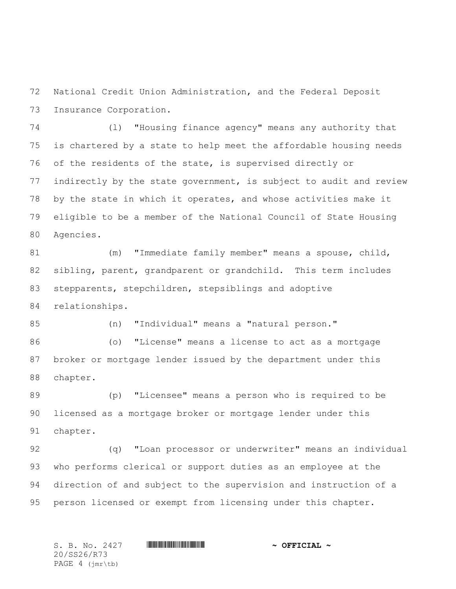National Credit Union Administration, and the Federal Deposit Insurance Corporation.

 (l) "Housing finance agency" means any authority that is chartered by a state to help meet the affordable housing needs of the residents of the state, is supervised directly or indirectly by the state government, is subject to audit and review by the state in which it operates, and whose activities make it eligible to be a member of the National Council of State Housing Agencies.

 (m) "Immediate family member" means a spouse, child, sibling, parent, grandparent or grandchild. This term includes stepparents, stepchildren, stepsiblings and adoptive

relationships.

(n) "Individual" means a "natural person."

 (o) "License" means a license to act as a mortgage broker or mortgage lender issued by the department under this chapter.

 (p) "Licensee" means a person who is required to be licensed as a mortgage broker or mortgage lender under this chapter.

 (q) "Loan processor or underwriter" means an individual who performs clerical or support duties as an employee at the direction of and subject to the supervision and instruction of a person licensed or exempt from licensing under this chapter.

20/SS26/R73 PAGE 4 (jmr\tb)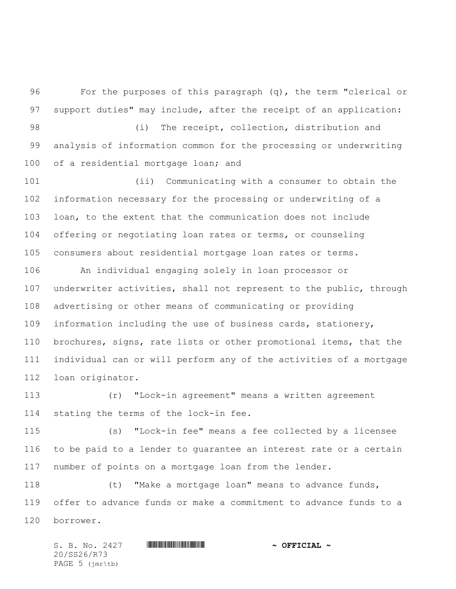For the purposes of this paragraph (q), the term "clerical or support duties" may include, after the receipt of an application:

98 (i) The receipt, collection, distribution and analysis of information common for the processing or underwriting 100 of a residential mortgage loan; and

 (ii) Communicating with a consumer to obtain the information necessary for the processing or underwriting of a loan, to the extent that the communication does not include offering or negotiating loan rates or terms, or counseling consumers about residential mortgage loan rates or terms.

 An individual engaging solely in loan processor or underwriter activities, shall not represent to the public, through advertising or other means of communicating or providing information including the use of business cards, stationery, brochures, signs, rate lists or other promotional items, that the individual can or will perform any of the activities of a mortgage loan originator.

 (r) "Lock-in agreement" means a written agreement stating the terms of the lock-in fee.

 (s) "Lock-in fee" means a fee collected by a licensee to be paid to a lender to guarantee an interest rate or a certain number of points on a mortgage loan from the lender.

 (t) "Make a mortgage loan" means to advance funds, offer to advance funds or make a commitment to advance funds to a borrower.

S. B. No. 2427 \*SS26/R73\* **~ OFFICIAL ~** 20/SS26/R73 PAGE 5 (jmr\tb)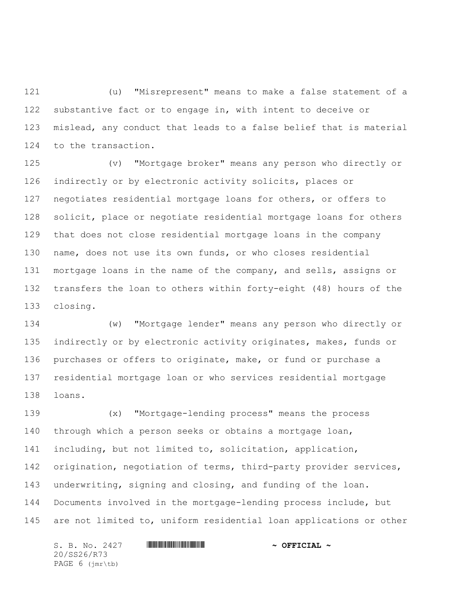(u) "Misrepresent" means to make a false statement of a substantive fact or to engage in, with intent to deceive or mislead, any conduct that leads to a false belief that is material to the transaction.

 (v) "Mortgage broker" means any person who directly or indirectly or by electronic activity solicits, places or negotiates residential mortgage loans for others, or offers to solicit, place or negotiate residential mortgage loans for others that does not close residential mortgage loans in the company name, does not use its own funds, or who closes residential mortgage loans in the name of the company, and sells, assigns or transfers the loan to others within forty-eight (48) hours of the closing.

 (w) "Mortgage lender" means any person who directly or 135 indirectly or by electronic activity originates, makes, funds or purchases or offers to originate, make, or fund or purchase a residential mortgage loan or who services residential mortgage loans.

 (x) "Mortgage-lending process" means the process through which a person seeks or obtains a mortgage loan, including, but not limited to, solicitation, application, 142 origination, negotiation of terms, third-party provider services, underwriting, signing and closing, and funding of the loan. Documents involved in the mortgage-lending process include, but are not limited to, uniform residential loan applications or other

S. B. No. 2427 **\*\*\* AND \*\*\* AND \*\*\* AND \*\*\* OFFICIAL ~\*** 20/SS26/R73 PAGE 6 (jmr\tb)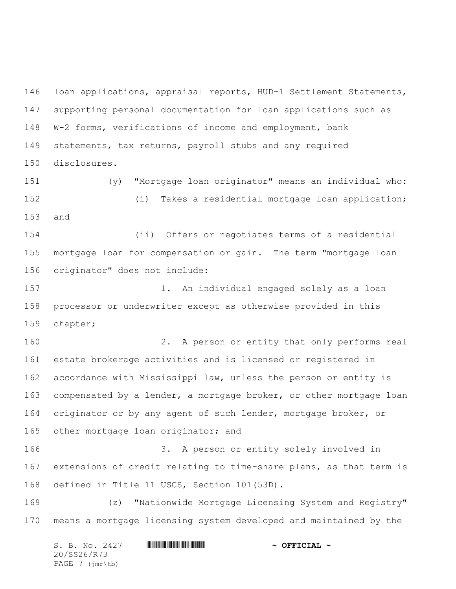loan applications, appraisal reports, HUD-1 Settlement Statements, supporting personal documentation for loan applications such as W-2 forms, verifications of income and employment, bank statements, tax returns, payroll stubs and any required disclosures.

 (y) "Mortgage loan originator" means an individual who: (i) Takes a residential mortgage loan application; and

 (ii) Offers or negotiates terms of a residential mortgage loan for compensation or gain. The term "mortgage loan originator" does not include:

 1. An individual engaged solely as a loan processor or underwriter except as otherwise provided in this chapter;

 2. A person or entity that only performs real estate brokerage activities and is licensed or registered in accordance with Mississippi law, unless the person or entity is compensated by a lender, a mortgage broker, or other mortgage loan originator or by any agent of such lender, mortgage broker, or other mortgage loan originator; and

 3. A person or entity solely involved in extensions of credit relating to time-share plans, as that term is defined in Title 11 USCS, Section 101(53D).

 (z) "Nationwide Mortgage Licensing System and Registry" means a mortgage licensing system developed and maintained by the

| S. B. No. 2427                             | $\sim$ OFFICIAL $\sim$ |
|--------------------------------------------|------------------------|
| 20/SS26/R73                                |                        |
| PAGE $7$ ( $\text{imr}\text{-}\text{tb}$ ) |                        |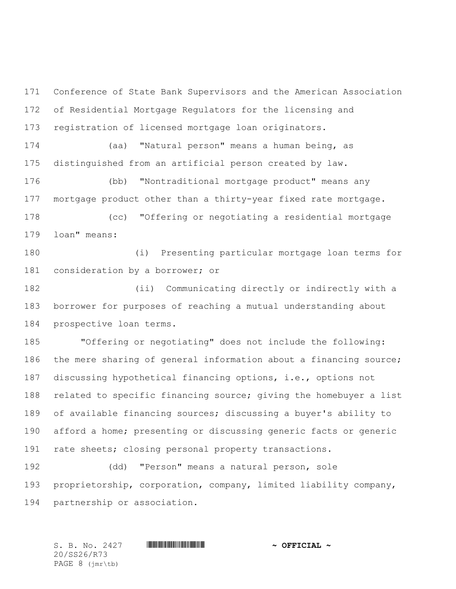Conference of State Bank Supervisors and the American Association of Residential Mortgage Regulators for the licensing and registration of licensed mortgage loan originators.

 (aa) "Natural person" means a human being, as distinguished from an artificial person created by law.

 (bb) "Nontraditional mortgage product" means any mortgage product other than a thirty-year fixed rate mortgage.

 (cc) "Offering or negotiating a residential mortgage loan" means:

 (i) Presenting particular mortgage loan terms for consideration by a borrower; or

 (ii) Communicating directly or indirectly with a borrower for purposes of reaching a mutual understanding about prospective loan terms.

 "Offering or negotiating" does not include the following: the mere sharing of general information about a financing source; discussing hypothetical financing options, i.e., options not 188 related to specific financing source; giving the homebuyer a list of available financing sources; discussing a buyer's ability to afford a home; presenting or discussing generic facts or generic rate sheets; closing personal property transactions.

 (dd) "Person" means a natural person, sole proprietorship, corporation, company, limited liability company, partnership or association.

20/SS26/R73 PAGE 8 (jmr\tb)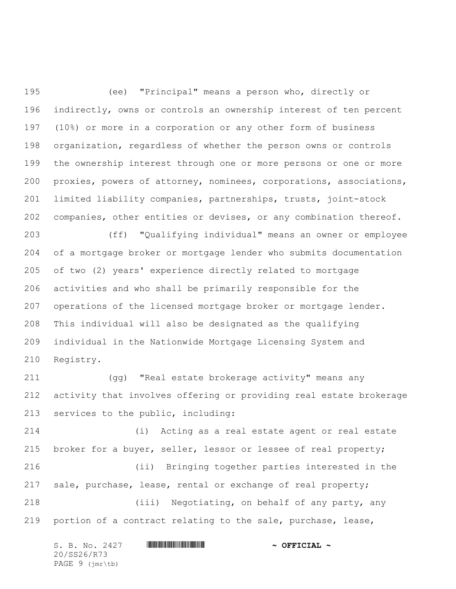(ee) "Principal" means a person who, directly or indirectly, owns or controls an ownership interest of ten percent (10%) or more in a corporation or any other form of business organization, regardless of whether the person owns or controls the ownership interest through one or more persons or one or more proxies, powers of attorney, nominees, corporations, associations, limited liability companies, partnerships, trusts, joint-stock companies, other entities or devises, or any combination thereof.

 (ff) "Qualifying individual" means an owner or employee of a mortgage broker or mortgage lender who submits documentation of two (2) years' experience directly related to mortgage activities and who shall be primarily responsible for the operations of the licensed mortgage broker or mortgage lender. This individual will also be designated as the qualifying individual in the Nationwide Mortgage Licensing System and Registry.

 (gg) "Real estate brokerage activity" means any activity that involves offering or providing real estate brokerage services to the public, including:

 (i) Acting as a real estate agent or real estate broker for a buyer, seller, lessor or lessee of real property; (ii) Bringing together parties interested in the sale, purchase, lease, rental or exchange of real property; (iii) Negotiating, on behalf of any party, any portion of a contract relating to the sale, purchase, lease,

|  |                                            | S. B. No. 2427 | $\sim$ OFFICIAL $\sim$ |
|--|--------------------------------------------|----------------|------------------------|
|  | 20/SS26/R73                                |                |                        |
|  | PAGE $9$ ( $\text{imr}\text{-}\text{tb}$ ) |                |                        |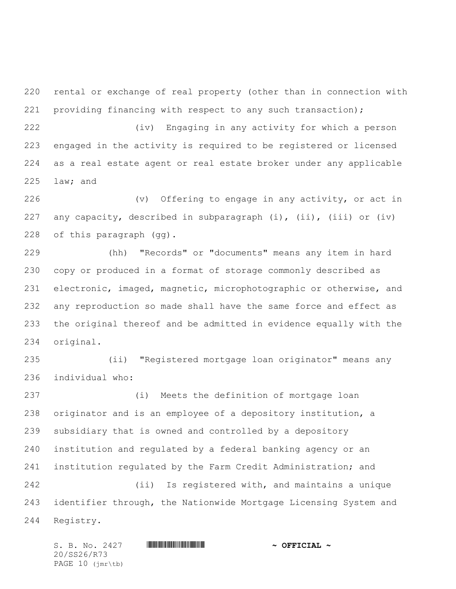rental or exchange of real property (other than in connection with 221 providing financing with respect to any such transaction);

 (iv) Engaging in any activity for which a person engaged in the activity is required to be registered or licensed as a real estate agent or real estate broker under any applicable law; and

 (v) Offering to engage in any activity, or act in 227 any capacity, described in subparagraph (i), (ii), (iii) or (iv) of this paragraph (gg).

 (hh) "Records" or "documents" means any item in hard copy or produced in a format of storage commonly described as electronic, imaged, magnetic, microphotographic or otherwise, and any reproduction so made shall have the same force and effect as the original thereof and be admitted in evidence equally with the original.

 (ii) "Registered mortgage loan originator" means any individual who:

 (i) Meets the definition of mortgage loan originator and is an employee of a depository institution, a subsidiary that is owned and controlled by a depository institution and regulated by a federal banking agency or an institution regulated by the Farm Credit Administration; and (ii) Is registered with, and maintains a unique

 identifier through, the Nationwide Mortgage Licensing System and Registry.

S. B. No. 2427 **\*\*\* INSTERNAL # ^ OFFICIAL ~** 20/SS26/R73 PAGE 10 (jmr\tb)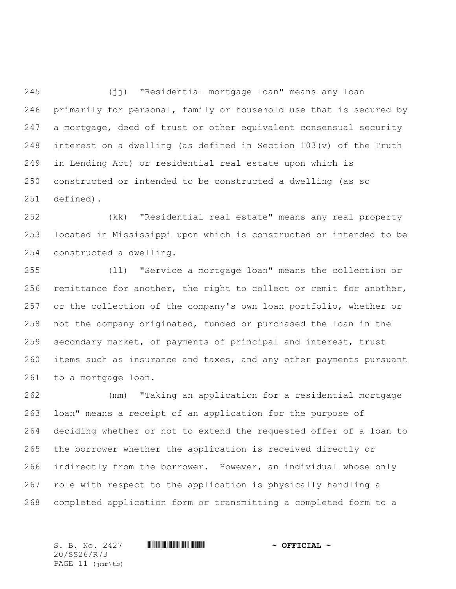(jj) "Residential mortgage loan" means any loan primarily for personal, family or household use that is secured by 247 a mortgage, deed of trust or other equivalent consensual security 248 interest on a dwelling (as defined in Section  $103(v)$  of the Truth in Lending Act) or residential real estate upon which is constructed or intended to be constructed a dwelling (as so defined).

 (kk) "Residential real estate" means any real property located in Mississippi upon which is constructed or intended to be constructed a dwelling.

 (ll) "Service a mortgage loan" means the collection or 256 remittance for another, the right to collect or remit for another, or the collection of the company's own loan portfolio, whether or not the company originated, funded or purchased the loan in the secondary market, of payments of principal and interest, trust items such as insurance and taxes, and any other payments pursuant to a mortgage loan.

 (mm) "Taking an application for a residential mortgage loan" means a receipt of an application for the purpose of deciding whether or not to extend the requested offer of a loan to the borrower whether the application is received directly or indirectly from the borrower. However, an individual whose only role with respect to the application is physically handling a completed application form or transmitting a completed form to a

20/SS26/R73 PAGE 11 (jmr\tb)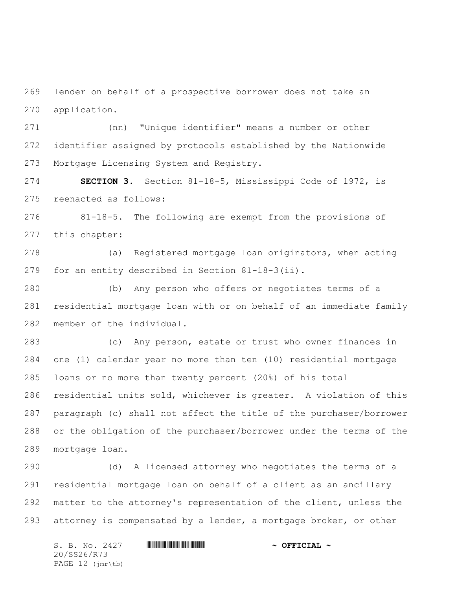lender on behalf of a prospective borrower does not take an application.

 (nn) "Unique identifier" means a number or other identifier assigned by protocols established by the Nationwide Mortgage Licensing System and Registry.

 **SECTION 3.** Section 81-18-5, Mississippi Code of 1972, is reenacted as follows:

 81-18-5. The following are exempt from the provisions of this chapter:

 (a) Registered mortgage loan originators, when acting for an entity described in Section 81-18-3(ii).

 (b) Any person who offers or negotiates terms of a residential mortgage loan with or on behalf of an immediate family member of the individual.

 (c) Any person, estate or trust who owner finances in one (1) calendar year no more than ten (10) residential mortgage loans or no more than twenty percent (20%) of his total residential units sold, whichever is greater. A violation of this paragraph (c) shall not affect the title of the purchaser/borrower or the obligation of the purchaser/borrower under the terms of the mortgage loan.

 (d) A licensed attorney who negotiates the terms of a residential mortgage loan on behalf of a client as an ancillary matter to the attorney's representation of the client, unless the attorney is compensated by a lender, a mortgage broker, or other

S. B. No. 2427 **\*\*\* INSTERNAL # ^ OFFICIAL ~** 20/SS26/R73 PAGE 12 (jmr\tb)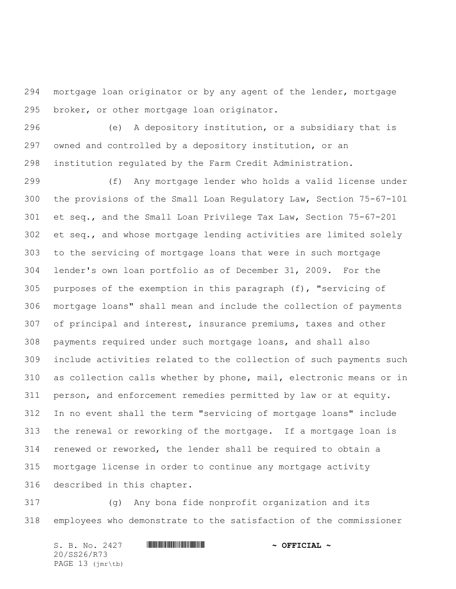mortgage loan originator or by any agent of the lender, mortgage broker, or other mortgage loan originator.

 (e) A depository institution, or a subsidiary that is owned and controlled by a depository institution, or an institution regulated by the Farm Credit Administration.

 (f) Any mortgage lender who holds a valid license under the provisions of the Small Loan Regulatory Law, Section 75-67-101 et seq., and the Small Loan Privilege Tax Law, Section 75-67-201 et seq., and whose mortgage lending activities are limited solely to the servicing of mortgage loans that were in such mortgage lender's own loan portfolio as of December 31, 2009. For the purposes of the exemption in this paragraph (f), "servicing of mortgage loans" shall mean and include the collection of payments of principal and interest, insurance premiums, taxes and other payments required under such mortgage loans, and shall also include activities related to the collection of such payments such as collection calls whether by phone, mail, electronic means or in person, and enforcement remedies permitted by law or at equity. In no event shall the term "servicing of mortgage loans" include the renewal or reworking of the mortgage. If a mortgage loan is renewed or reworked, the lender shall be required to obtain a mortgage license in order to continue any mortgage activity described in this chapter.

 (g) Any bona fide nonprofit organization and its employees who demonstrate to the satisfaction of the commissioner

S. B. No. 2427 **\*\*\* AND \*\*\* AND \*\*\* AND \*\*\* OFFICIAL ~\*** 20/SS26/R73 PAGE 13 (jmr\tb)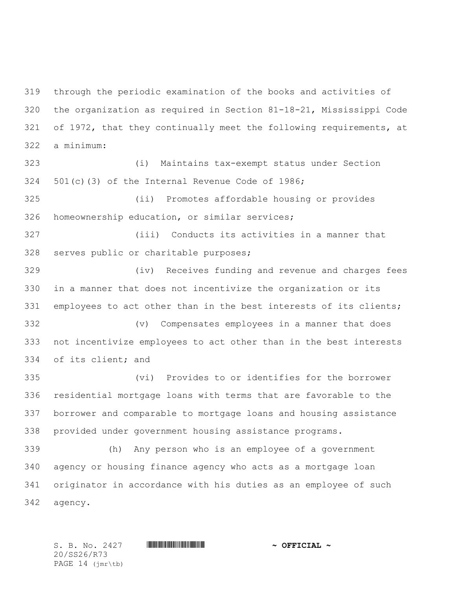through the periodic examination of the books and activities of the organization as required in Section 81-18-21, Mississippi Code of 1972, that they continually meet the following requirements, at a minimum:

 (i) Maintains tax-exempt status under Section 501(c)(3) of the Internal Revenue Code of 1986;

 (ii) Promotes affordable housing or provides homeownership education, or similar services;

 (iii) Conducts its activities in a manner that serves public or charitable purposes;

 (iv) Receives funding and revenue and charges fees in a manner that does not incentivize the organization or its 331 employees to act other than in the best interests of its clients;

 (v) Compensates employees in a manner that does not incentivize employees to act other than in the best interests of its client; and

 (vi) Provides to or identifies for the borrower residential mortgage loans with terms that are favorable to the borrower and comparable to mortgage loans and housing assistance provided under government housing assistance programs.

 (h) Any person who is an employee of a government agency or housing finance agency who acts as a mortgage loan originator in accordance with his duties as an employee of such agency.

20/SS26/R73 PAGE 14 (jmr\tb)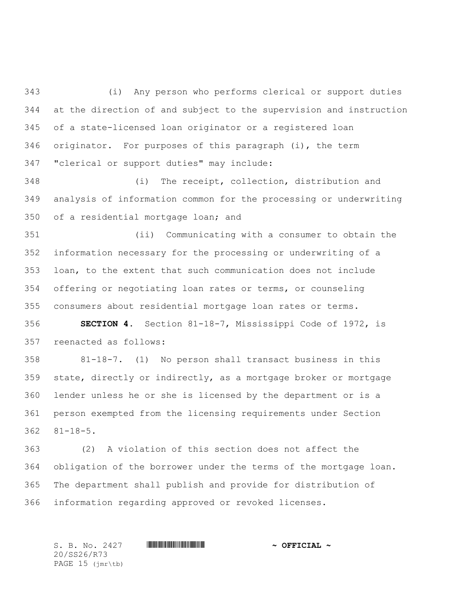(i) Any person who performs clerical or support duties at the direction of and subject to the supervision and instruction of a state-licensed loan originator or a registered loan originator. For purposes of this paragraph (i), the term "clerical or support duties" may include:

 (i) The receipt, collection, distribution and analysis of information common for the processing or underwriting of a residential mortgage loan; and

 (ii) Communicating with a consumer to obtain the information necessary for the processing or underwriting of a loan, to the extent that such communication does not include offering or negotiating loan rates or terms, or counseling consumers about residential mortgage loan rates or terms.

 **SECTION 4.** Section 81-18-7, Mississippi Code of 1972, is reenacted as follows:

 81-18-7. (1) No person shall transact business in this state, directly or indirectly, as a mortgage broker or mortgage lender unless he or she is licensed by the department or is a person exempted from the licensing requirements under Section 81-18-5.

 (2) A violation of this section does not affect the obligation of the borrower under the terms of the mortgage loan. The department shall publish and provide for distribution of information regarding approved or revoked licenses.

20/SS26/R73 PAGE 15 (jmr\tb)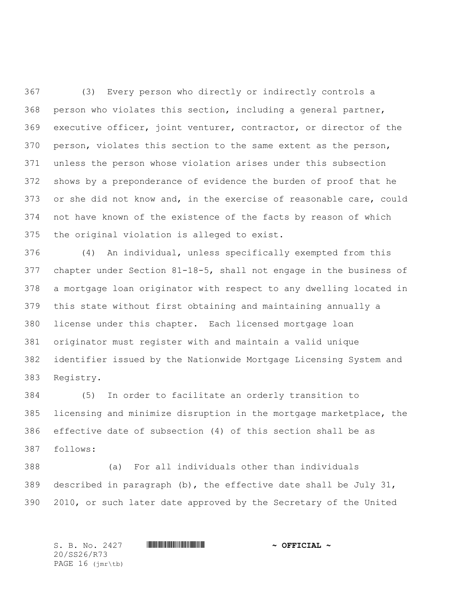(3) Every person who directly or indirectly controls a person who violates this section, including a general partner, executive officer, joint venturer, contractor, or director of the person, violates this section to the same extent as the person, unless the person whose violation arises under this subsection shows by a preponderance of evidence the burden of proof that he or she did not know and, in the exercise of reasonable care, could not have known of the existence of the facts by reason of which the original violation is alleged to exist.

 (4) An individual, unless specifically exempted from this chapter under Section 81-18-5, shall not engage in the business of a mortgage loan originator with respect to any dwelling located in this state without first obtaining and maintaining annually a license under this chapter. Each licensed mortgage loan originator must register with and maintain a valid unique identifier issued by the Nationwide Mortgage Licensing System and Registry.

 (5) In order to facilitate an orderly transition to licensing and minimize disruption in the mortgage marketplace, the effective date of subsection (4) of this section shall be as follows:

 (a) For all individuals other than individuals described in paragraph (b), the effective date shall be July 31, 2010, or such later date approved by the Secretary of the United

S. B. No. 2427 \*SS26/R73\* **~ OFFICIAL ~** 20/SS26/R73 PAGE 16 (jmr\tb)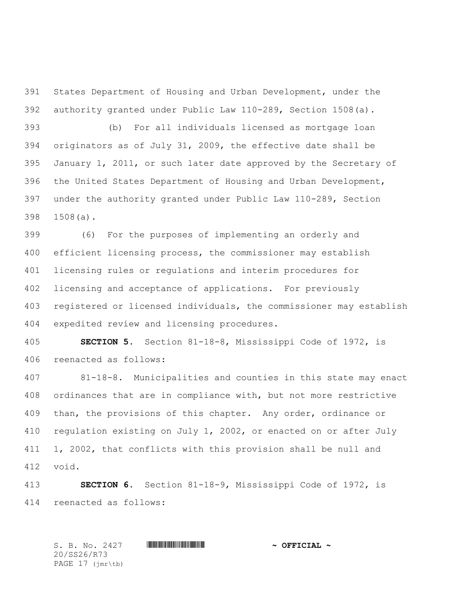States Department of Housing and Urban Development, under the authority granted under Public Law 110-289, Section 1508(a).

 (b) For all individuals licensed as mortgage loan originators as of July 31, 2009, the effective date shall be January 1, 2011, or such later date approved by the Secretary of the United States Department of Housing and Urban Development, under the authority granted under Public Law 110-289, Section 1508(a).

 (6) For the purposes of implementing an orderly and efficient licensing process, the commissioner may establish licensing rules or regulations and interim procedures for licensing and acceptance of applications. For previously registered or licensed individuals, the commissioner may establish expedited review and licensing procedures.

 **SECTION 5.** Section 81-18-8, Mississippi Code of 1972, is reenacted as follows:

 81-18-8. Municipalities and counties in this state may enact ordinances that are in compliance with, but not more restrictive than, the provisions of this chapter. Any order, ordinance or regulation existing on July 1, 2002, or enacted on or after July 1, 2002, that conflicts with this provision shall be null and void.

 **SECTION 6.** Section 81-18-9, Mississippi Code of 1972, is reenacted as follows:

S. B. No. 2427 \*SS26/R73\* **~ OFFICIAL ~** 20/SS26/R73 PAGE 17 (jmr\tb)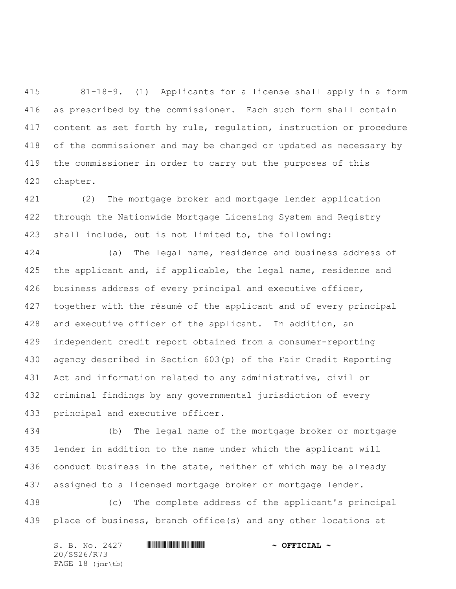81-18-9. (1) Applicants for a license shall apply in a form as prescribed by the commissioner. Each such form shall contain content as set forth by rule, regulation, instruction or procedure of the commissioner and may be changed or updated as necessary by the commissioner in order to carry out the purposes of this chapter.

 (2) The mortgage broker and mortgage lender application through the Nationwide Mortgage Licensing System and Registry shall include, but is not limited to, the following:

 (a) The legal name, residence and business address of 425 the applicant and, if applicable, the legal name, residence and 426 business address of every principal and executive officer, together with the résumé of the applicant and of every principal and executive officer of the applicant. In addition, an independent credit report obtained from a consumer-reporting agency described in Section 603(p) of the Fair Credit Reporting Act and information related to any administrative, civil or criminal findings by any governmental jurisdiction of every principal and executive officer.

 (b) The legal name of the mortgage broker or mortgage lender in addition to the name under which the applicant will conduct business in the state, neither of which may be already assigned to a licensed mortgage broker or mortgage lender.

 (c) The complete address of the applicant's principal place of business, branch office(s) and any other locations at

S. B. No. 2427 **\*\*\* AND \*\*\* AND \*\*\* AND \*\*\* OFFICIAL ~\*** 20/SS26/R73 PAGE 18 (jmr\tb)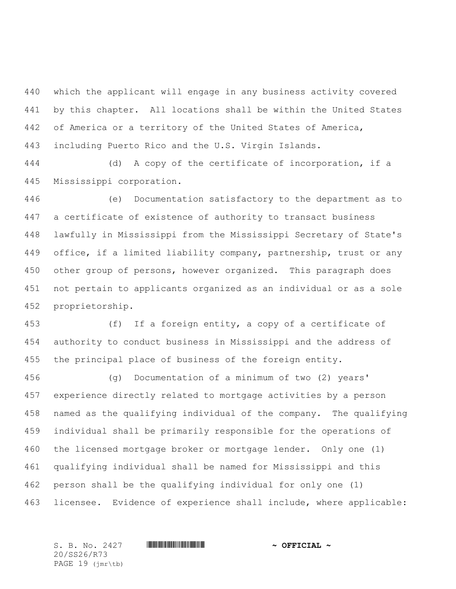which the applicant will engage in any business activity covered by this chapter. All locations shall be within the United States of America or a territory of the United States of America, including Puerto Rico and the U.S. Virgin Islands.

 (d) A copy of the certificate of incorporation, if a Mississippi corporation.

 (e) Documentation satisfactory to the department as to a certificate of existence of authority to transact business lawfully in Mississippi from the Mississippi Secretary of State's office, if a limited liability company, partnership, trust or any other group of persons, however organized. This paragraph does not pertain to applicants organized as an individual or as a sole proprietorship.

 (f) If a foreign entity, a copy of a certificate of authority to conduct business in Mississippi and the address of the principal place of business of the foreign entity.

 (g) Documentation of a minimum of two (2) years' experience directly related to mortgage activities by a person named as the qualifying individual of the company. The qualifying individual shall be primarily responsible for the operations of the licensed mortgage broker or mortgage lender. Only one (1) qualifying individual shall be named for Mississippi and this person shall be the qualifying individual for only one (1) licensee. Evidence of experience shall include, where applicable:

20/SS26/R73 PAGE 19 (jmr\tb)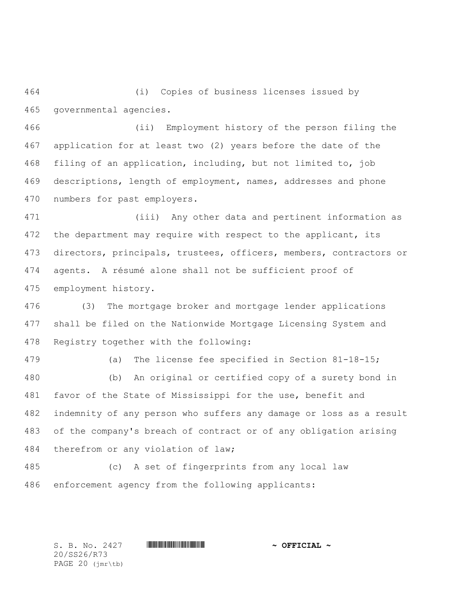(i) Copies of business licenses issued by governmental agencies.

 (ii) Employment history of the person filing the application for at least two (2) years before the date of the filing of an application, including, but not limited to, job descriptions, length of employment, names, addresses and phone numbers for past employers.

 (iii) Any other data and pertinent information as 472 the department may require with respect to the applicant, its directors, principals, trustees, officers, members, contractors or agents. A résumé alone shall not be sufficient proof of employment history.

 (3) The mortgage broker and mortgage lender applications shall be filed on the Nationwide Mortgage Licensing System and Registry together with the following:

 (a) The license fee specified in Section 81-18-15; (b) An original or certified copy of a surety bond in favor of the State of Mississippi for the use, benefit and indemnity of any person who suffers any damage or loss as a result of the company's breach of contract or of any obligation arising therefrom or any violation of law;

 (c) A set of fingerprints from any local law enforcement agency from the following applicants:

S. B. No. 2427 **\*\*\* INSTERNAL # ^ OFFICIAL ~** 

20/SS26/R73 PAGE 20 (jmr\tb)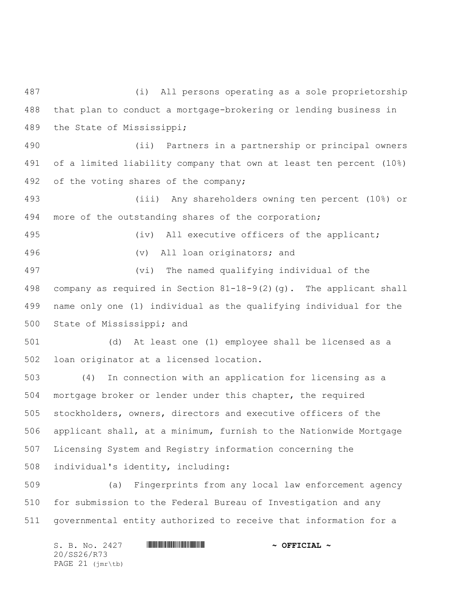(i) All persons operating as a sole proprietorship that plan to conduct a mortgage-brokering or lending business in the State of Mississippi;

 (ii) Partners in a partnership or principal owners of a limited liability company that own at least ten percent (10%) of the voting shares of the company;

 (iii) Any shareholders owning ten percent (10%) or more of the outstanding shares of the corporation;

 (iv) All executive officers of the applicant; (v) All loan originators; and (vi) The named qualifying individual of the

 company as required in Section 81-18-9(2)(g). The applicant shall name only one (1) individual as the qualifying individual for the State of Mississippi; and

 (d) At least one (1) employee shall be licensed as a loan originator at a licensed location.

 (4) In connection with an application for licensing as a mortgage broker or lender under this chapter, the required stockholders, owners, directors and executive officers of the applicant shall, at a minimum, furnish to the Nationwide Mortgage Licensing System and Registry information concerning the individual's identity, including:

 (a) Fingerprints from any local law enforcement agency for submission to the Federal Bureau of Investigation and any governmental entity authorized to receive that information for a

S. B. No. 2427 **\*\*\* AND \*\*\* AND \*\*\* AND \*\*\* OFFICIAL ~\*** 20/SS26/R73 PAGE 21 (jmr\tb)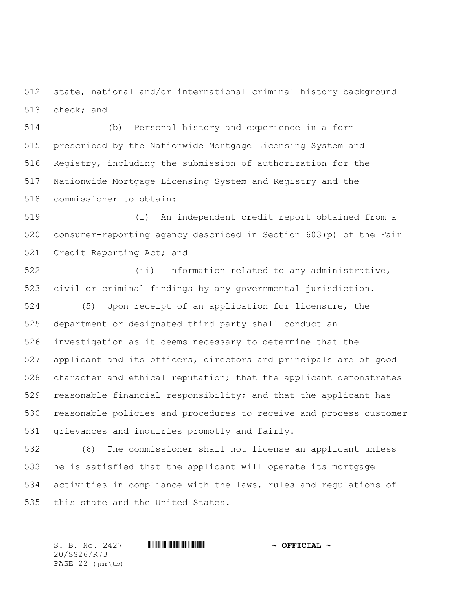state, national and/or international criminal history background check; and

 (b) Personal history and experience in a form prescribed by the Nationwide Mortgage Licensing System and Registry, including the submission of authorization for the Nationwide Mortgage Licensing System and Registry and the commissioner to obtain:

 (i) An independent credit report obtained from a consumer-reporting agency described in Section 603(p) of the Fair Credit Reporting Act; and

 (ii) Information related to any administrative, civil or criminal findings by any governmental jurisdiction. (5) Upon receipt of an application for licensure, the department or designated third party shall conduct an investigation as it deems necessary to determine that the applicant and its officers, directors and principals are of good character and ethical reputation; that the applicant demonstrates reasonable financial responsibility; and that the applicant has reasonable policies and procedures to receive and process customer grievances and inquiries promptly and fairly.

 (6) The commissioner shall not license an applicant unless he is satisfied that the applicant will operate its mortgage activities in compliance with the laws, rules and regulations of this state and the United States.

20/SS26/R73 PAGE 22 (jmr\tb)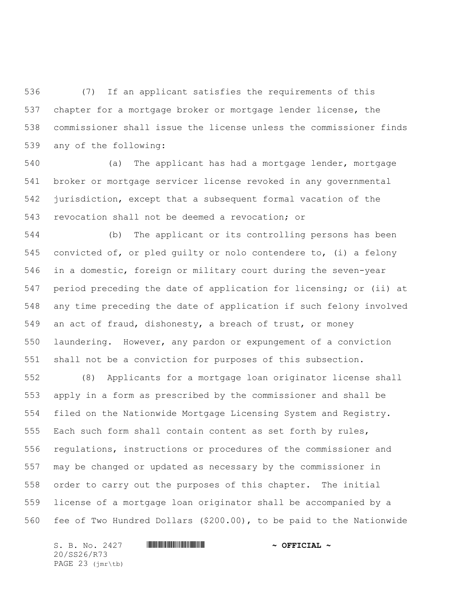(7) If an applicant satisfies the requirements of this chapter for a mortgage broker or mortgage lender license, the commissioner shall issue the license unless the commissioner finds any of the following:

 (a) The applicant has had a mortgage lender, mortgage broker or mortgage servicer license revoked in any governmental jurisdiction, except that a subsequent formal vacation of the revocation shall not be deemed a revocation; or

 (b) The applicant or its controlling persons has been convicted of, or pled guilty or nolo contendere to, (i) a felony in a domestic, foreign or military court during the seven-year period preceding the date of application for licensing; or (ii) at any time preceding the date of application if such felony involved an act of fraud, dishonesty, a breach of trust, or money laundering. However, any pardon or expungement of a conviction shall not be a conviction for purposes of this subsection.

 (8) Applicants for a mortgage loan originator license shall apply in a form as prescribed by the commissioner and shall be filed on the Nationwide Mortgage Licensing System and Registry. Each such form shall contain content as set forth by rules, regulations, instructions or procedures of the commissioner and may be changed or updated as necessary by the commissioner in order to carry out the purposes of this chapter. The initial license of a mortgage loan originator shall be accompanied by a fee of Two Hundred Dollars (\$200.00), to be paid to the Nationwide

S. B. No. 2427 **\*\*\* AND \*\*\* AND \*\*\* AND \*\*\* OFFICIAL ~\*** 20/SS26/R73 PAGE 23 (jmr\tb)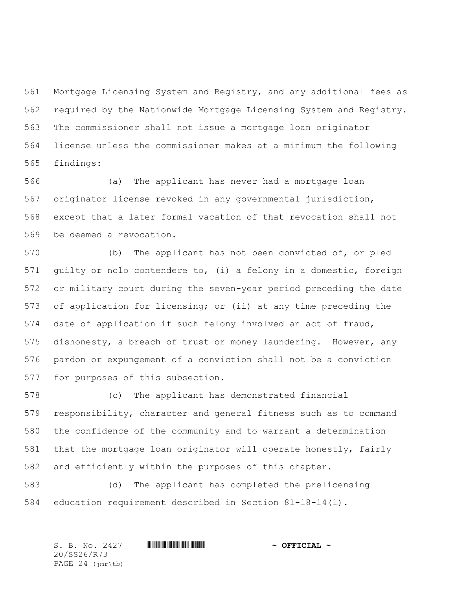Mortgage Licensing System and Registry, and any additional fees as required by the Nationwide Mortgage Licensing System and Registry. The commissioner shall not issue a mortgage loan originator license unless the commissioner makes at a minimum the following findings:

 (a) The applicant has never had a mortgage loan originator license revoked in any governmental jurisdiction, except that a later formal vacation of that revocation shall not be deemed a revocation.

 (b) The applicant has not been convicted of, or pled guilty or nolo contendere to, (i) a felony in a domestic, foreign or military court during the seven-year period preceding the date of application for licensing; or (ii) at any time preceding the date of application if such felony involved an act of fraud, dishonesty, a breach of trust or money laundering. However, any pardon or expungement of a conviction shall not be a conviction for purposes of this subsection.

 (c) The applicant has demonstrated financial responsibility, character and general fitness such as to command the confidence of the community and to warrant a determination that the mortgage loan originator will operate honestly, fairly and efficiently within the purposes of this chapter.

 (d) The applicant has completed the prelicensing education requirement described in Section 81-18-14(1).

S. B. No. 2427 **\*\*\* INSTERNAL # ^ OFFICIAL ~** 20/SS26/R73 PAGE 24 (jmr\tb)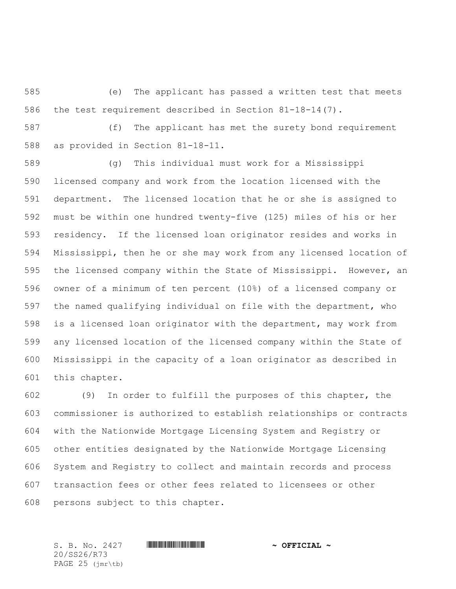(e) The applicant has passed a written test that meets the test requirement described in Section 81-18-14(7).

 (f) The applicant has met the surety bond requirement as provided in Section 81-18-11.

 (g) This individual must work for a Mississippi licensed company and work from the location licensed with the department. The licensed location that he or she is assigned to must be within one hundred twenty-five (125) miles of his or her residency. If the licensed loan originator resides and works in Mississippi, then he or she may work from any licensed location of the licensed company within the State of Mississippi. However, an owner of a minimum of ten percent (10%) of a licensed company or the named qualifying individual on file with the department, who is a licensed loan originator with the department, may work from any licensed location of the licensed company within the State of Mississippi in the capacity of a loan originator as described in this chapter.

 (9) In order to fulfill the purposes of this chapter, the commissioner is authorized to establish relationships or contracts with the Nationwide Mortgage Licensing System and Registry or other entities designated by the Nationwide Mortgage Licensing System and Registry to collect and maintain records and process transaction fees or other fees related to licensees or other persons subject to this chapter.

20/SS26/R73 PAGE 25 (jmr\tb)

S. B. No. 2427 \*SS26/R73\* **~ OFFICIAL ~**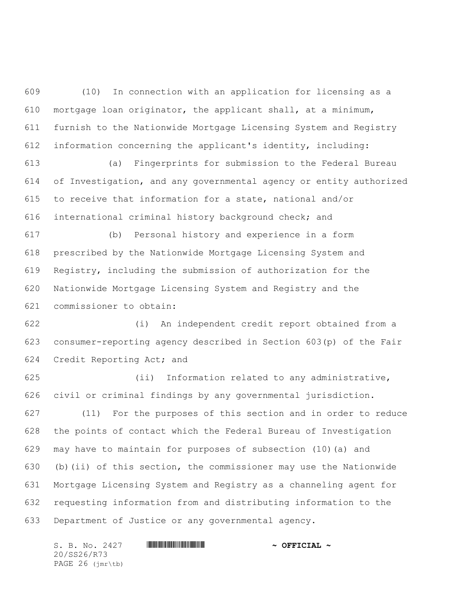(10) In connection with an application for licensing as a mortgage loan originator, the applicant shall, at a minimum, furnish to the Nationwide Mortgage Licensing System and Registry information concerning the applicant's identity, including:

 (a) Fingerprints for submission to the Federal Bureau of Investigation, and any governmental agency or entity authorized to receive that information for a state, national and/or international criminal history background check; and

 (b) Personal history and experience in a form prescribed by the Nationwide Mortgage Licensing System and Registry, including the submission of authorization for the Nationwide Mortgage Licensing System and Registry and the commissioner to obtain:

 (i) An independent credit report obtained from a consumer-reporting agency described in Section 603(p) of the Fair Credit Reporting Act; and

 (ii) Information related to any administrative, civil or criminal findings by any governmental jurisdiction.

 (11) For the purposes of this section and in order to reduce the points of contact which the Federal Bureau of Investigation may have to maintain for purposes of subsection (10)(a) and (b)(ii) of this section, the commissioner may use the Nationwide Mortgage Licensing System and Registry as a channeling agent for requesting information from and distributing information to the Department of Justice or any governmental agency.

S. B. No. 2427 **\*\*\* INSTERNAL # ^ OFFICIAL ~** 20/SS26/R73 PAGE 26 (jmr\tb)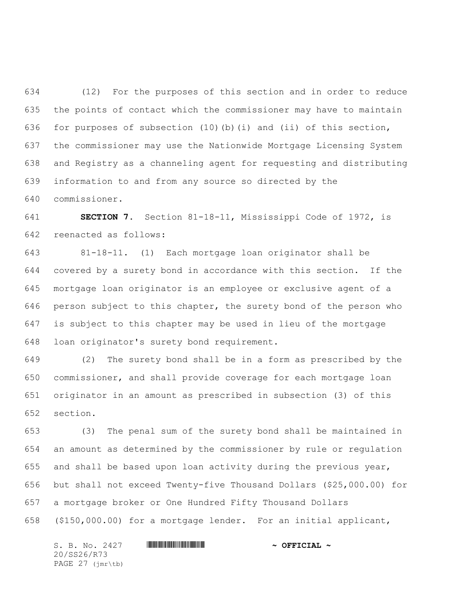(12) For the purposes of this section and in order to reduce the points of contact which the commissioner may have to maintain for purposes of subsection (10)(b)(i) and (ii) of this section, the commissioner may use the Nationwide Mortgage Licensing System and Registry as a channeling agent for requesting and distributing information to and from any source so directed by the commissioner.

 **SECTION 7.** Section 81-18-11, Mississippi Code of 1972, is reenacted as follows:

 81-18-11. (1) Each mortgage loan originator shall be covered by a surety bond in accordance with this section. If the mortgage loan originator is an employee or exclusive agent of a person subject to this chapter, the surety bond of the person who is subject to this chapter may be used in lieu of the mortgage loan originator's surety bond requirement.

 (2) The surety bond shall be in a form as prescribed by the commissioner, and shall provide coverage for each mortgage loan originator in an amount as prescribed in subsection (3) of this section.

 (3) The penal sum of the surety bond shall be maintained in an amount as determined by the commissioner by rule or regulation and shall be based upon loan activity during the previous year, but shall not exceed Twenty-five Thousand Dollars (\$25,000.00) for a mortgage broker or One Hundred Fifty Thousand Dollars (\$150,000.00) for a mortgage lender. For an initial applicant,

 $S. B. No. 2427$  **\*\*\* A SEPT AL 4.**  $\sim$  OFFICIAL  $\sim$ 20/SS26/R73 PAGE 27 (jmr\tb)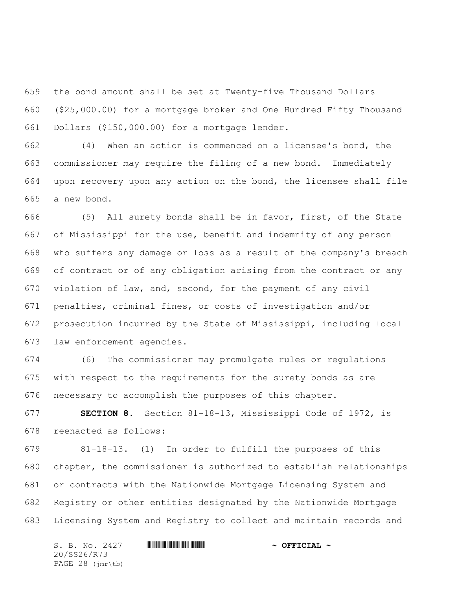the bond amount shall be set at Twenty-five Thousand Dollars (\$25,000.00) for a mortgage broker and One Hundred Fifty Thousand Dollars (\$150,000.00) for a mortgage lender.

 (4) When an action is commenced on a licensee's bond, the commissioner may require the filing of a new bond. Immediately upon recovery upon any action on the bond, the licensee shall file a new bond.

 (5) All surety bonds shall be in favor, first, of the State of Mississippi for the use, benefit and indemnity of any person who suffers any damage or loss as a result of the company's breach of contract or of any obligation arising from the contract or any violation of law, and, second, for the payment of any civil penalties, criminal fines, or costs of investigation and/or prosecution incurred by the State of Mississippi, including local law enforcement agencies.

 (6) The commissioner may promulgate rules or regulations with respect to the requirements for the surety bonds as are necessary to accomplish the purposes of this chapter.

 **SECTION 8.** Section 81-18-13, Mississippi Code of 1972, is reenacted as follows:

 81-18-13. (1) In order to fulfill the purposes of this chapter, the commissioner is authorized to establish relationships or contracts with the Nationwide Mortgage Licensing System and Registry or other entities designated by the Nationwide Mortgage Licensing System and Registry to collect and maintain records and

S. B. No. 2427 **\*\*\* AND \*\*\* AND \*\*\* AND \*\*\* OFFICIAL ~\*** 20/SS26/R73 PAGE 28 (jmr\tb)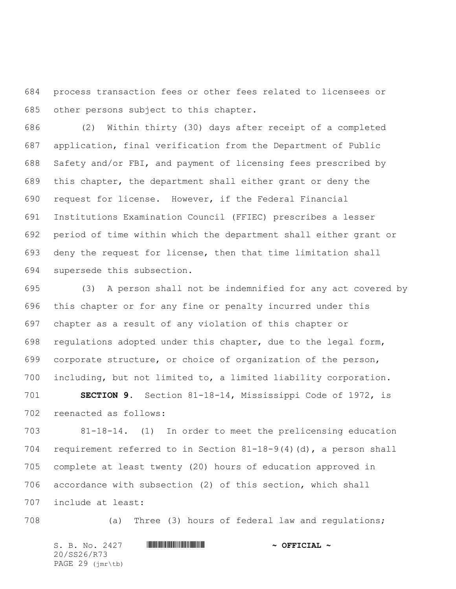process transaction fees or other fees related to licensees or other persons subject to this chapter.

 (2) Within thirty (30) days after receipt of a completed application, final verification from the Department of Public Safety and/or FBI, and payment of licensing fees prescribed by this chapter, the department shall either grant or deny the request for license. However, if the Federal Financial Institutions Examination Council (FFIEC) prescribes a lesser period of time within which the department shall either grant or deny the request for license, then that time limitation shall supersede this subsection.

 (3) A person shall not be indemnified for any act covered by this chapter or for any fine or penalty incurred under this chapter as a result of any violation of this chapter or regulations adopted under this chapter, due to the legal form, corporate structure, or choice of organization of the person, including, but not limited to, a limited liability corporation.

 **SECTION 9.** Section 81-18-14, Mississippi Code of 1972, is reenacted as follows:

 81-18-14. (1) In order to meet the prelicensing education requirement referred to in Section 81-18-9(4)(d), a person shall complete at least twenty (20) hours of education approved in accordance with subsection (2) of this section, which shall include at least:

(a) Three (3) hours of federal law and regulations;

S. B. No. 2427 **\*\*\* INSTERNAL # ^ OFFICIAL ~** 20/SS26/R73 PAGE 29 (jmr\tb)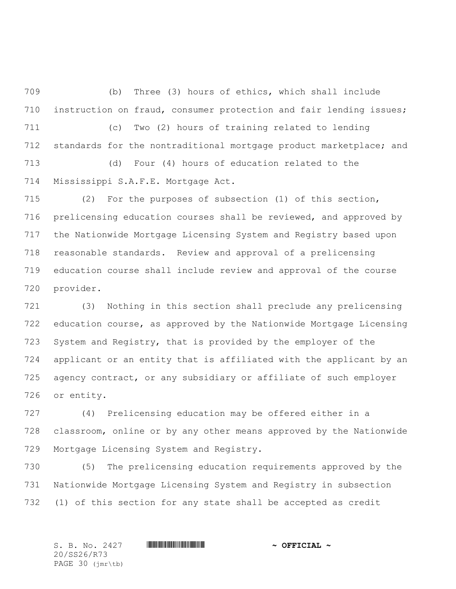(b) Three (3) hours of ethics, which shall include instruction on fraud, consumer protection and fair lending issues; (c) Two (2) hours of training related to lending standards for the nontraditional mortgage product marketplace; and (d) Four (4) hours of education related to the Mississippi S.A.F.E. Mortgage Act.

 (2) For the purposes of subsection (1) of this section, prelicensing education courses shall be reviewed, and approved by the Nationwide Mortgage Licensing System and Registry based upon reasonable standards. Review and approval of a prelicensing education course shall include review and approval of the course provider.

 (3) Nothing in this section shall preclude any prelicensing education course, as approved by the Nationwide Mortgage Licensing System and Registry, that is provided by the employer of the applicant or an entity that is affiliated with the applicant by an agency contract, or any subsidiary or affiliate of such employer or entity.

 (4) Prelicensing education may be offered either in a classroom, online or by any other means approved by the Nationwide Mortgage Licensing System and Registry.

 (5) The prelicensing education requirements approved by the Nationwide Mortgage Licensing System and Registry in subsection (1) of this section for any state shall be accepted as credit

20/SS26/R73 PAGE 30 (jmr\tb)

S. B. No. 2427 \*SS26/R73\* **~ OFFICIAL ~**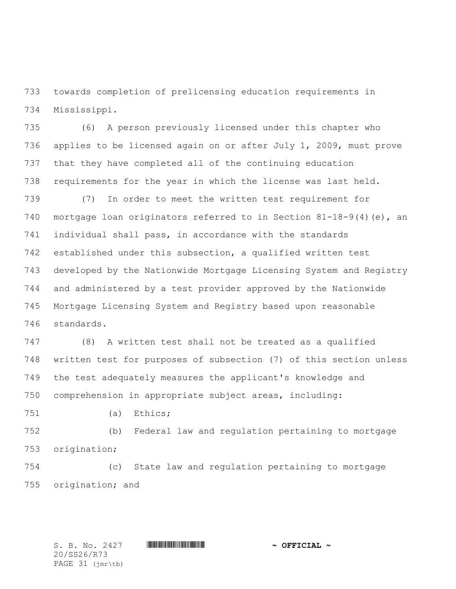towards completion of prelicensing education requirements in Mississippi.

 (6) A person previously licensed under this chapter who applies to be licensed again on or after July 1, 2009, must prove that they have completed all of the continuing education requirements for the year in which the license was last held.

 (7) In order to meet the written test requirement for mortgage loan originators referred to in Section 81-18-9(4)(e), an individual shall pass, in accordance with the standards established under this subsection, a qualified written test developed by the Nationwide Mortgage Licensing System and Registry and administered by a test provider approved by the Nationwide Mortgage Licensing System and Registry based upon reasonable standards.

 (8) A written test shall not be treated as a qualified written test for purposes of subsection (7) of this section unless the test adequately measures the applicant's knowledge and comprehension in appropriate subject areas, including:

(a) Ethics;

 (b) Federal law and regulation pertaining to mortgage origination;

 (c) State law and regulation pertaining to mortgage origination; and

20/SS26/R73 PAGE 31 (jmr\tb)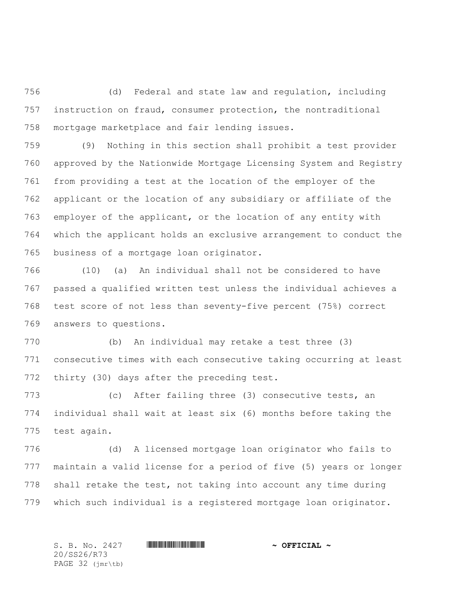(d) Federal and state law and regulation, including instruction on fraud, consumer protection, the nontraditional mortgage marketplace and fair lending issues.

 (9) Nothing in this section shall prohibit a test provider approved by the Nationwide Mortgage Licensing System and Registry from providing a test at the location of the employer of the applicant or the location of any subsidiary or affiliate of the employer of the applicant, or the location of any entity with which the applicant holds an exclusive arrangement to conduct the business of a mortgage loan originator.

 (10) (a) An individual shall not be considered to have passed a qualified written test unless the individual achieves a test score of not less than seventy-five percent (75%) correct answers to questions.

 (b) An individual may retake a test three (3) consecutive times with each consecutive taking occurring at least thirty (30) days after the preceding test.

 (c) After failing three (3) consecutive tests, an individual shall wait at least six (6) months before taking the test again.

 (d) A licensed mortgage loan originator who fails to maintain a valid license for a period of five (5) years or longer shall retake the test, not taking into account any time during which such individual is a registered mortgage loan originator.

20/SS26/R73 PAGE 32 (jmr\tb)

S. B. No. 2427 \*SS26/R73\* **~ OFFICIAL ~**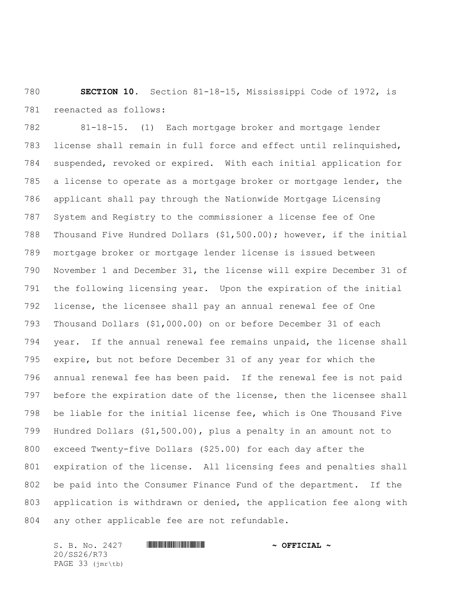**SECTION 10.** Section 81-18-15, Mississippi Code of 1972, is reenacted as follows:

 81-18-15. (1) Each mortgage broker and mortgage lender license shall remain in full force and effect until relinquished, suspended, revoked or expired. With each initial application for a license to operate as a mortgage broker or mortgage lender, the applicant shall pay through the Nationwide Mortgage Licensing System and Registry to the commissioner a license fee of One Thousand Five Hundred Dollars (\$1,500.00); however, if the initial mortgage broker or mortgage lender license is issued between November 1 and December 31, the license will expire December 31 of the following licensing year. Upon the expiration of the initial license, the licensee shall pay an annual renewal fee of One Thousand Dollars (\$1,000.00) on or before December 31 of each year. If the annual renewal fee remains unpaid, the license shall expire, but not before December 31 of any year for which the annual renewal fee has been paid. If the renewal fee is not paid before the expiration date of the license, then the licensee shall be liable for the initial license fee, which is One Thousand Five Hundred Dollars (\$1,500.00), plus a penalty in an amount not to exceed Twenty-five Dollars (\$25.00) for each day after the expiration of the license. All licensing fees and penalties shall be paid into the Consumer Finance Fund of the department. If the application is withdrawn or denied, the application fee along with any other applicable fee are not refundable.

S. B. No. 2427 **\*\*\* INSTERNAL # ^ OFFICIAL ~** 20/SS26/R73 PAGE 33 (jmr\tb)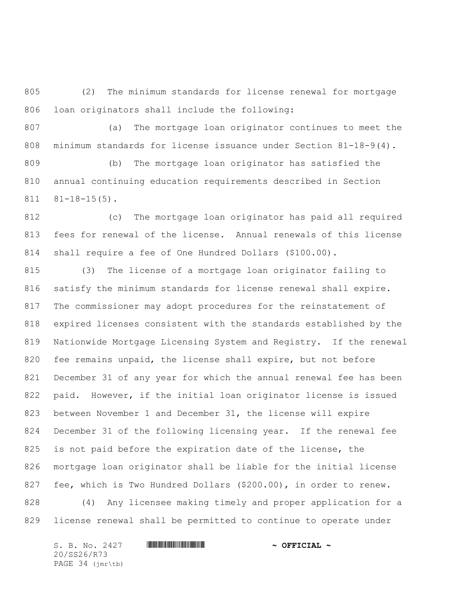(2) The minimum standards for license renewal for mortgage loan originators shall include the following:

 (a) The mortgage loan originator continues to meet the minimum standards for license issuance under Section 81-18-9(4).

 (b) The mortgage loan originator has satisfied the annual continuing education requirements described in Section 81-18-15(5).

 (c) The mortgage loan originator has paid all required fees for renewal of the license. Annual renewals of this license shall require a fee of One Hundred Dollars (\$100.00).

 (3) The license of a mortgage loan originator failing to satisfy the minimum standards for license renewal shall expire. The commissioner may adopt procedures for the reinstatement of expired licenses consistent with the standards established by the Nationwide Mortgage Licensing System and Registry. If the renewal fee remains unpaid, the license shall expire, but not before December 31 of any year for which the annual renewal fee has been paid. However, if the initial loan originator license is issued between November 1 and December 31, the license will expire December 31 of the following licensing year. If the renewal fee 825 is not paid before the expiration date of the license, the mortgage loan originator shall be liable for the initial license fee, which is Two Hundred Dollars (\$200.00), in order to renew. (4) Any licensee making timely and proper application for a

license renewal shall be permitted to continue to operate under

S. B. No. 2427 **\*\*\* AND \*\*\* AND \*\*\* AND \*\*\* OFFICIAL ~\*** 20/SS26/R73 PAGE 34 (jmr\tb)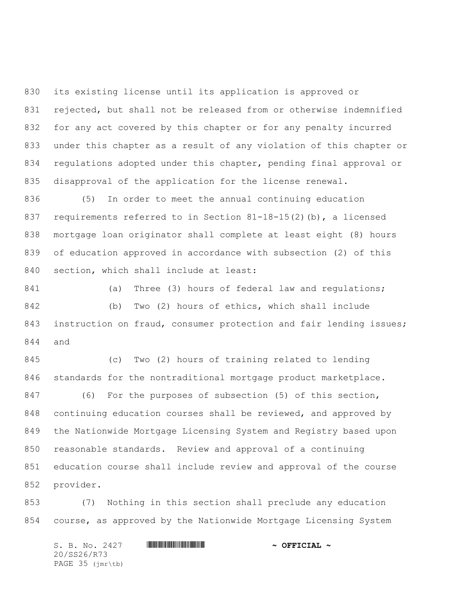its existing license until its application is approved or rejected, but shall not be released from or otherwise indemnified for any act covered by this chapter or for any penalty incurred under this chapter as a result of any violation of this chapter or regulations adopted under this chapter, pending final approval or disapproval of the application for the license renewal.

 (5) In order to meet the annual continuing education requirements referred to in Section 81-18-15(2)(b), a licensed mortgage loan originator shall complete at least eight (8) hours of education approved in accordance with subsection (2) of this 840 section, which shall include at least:

841 (a) Three (3) hours of federal law and requlations; (b) Two (2) hours of ethics, which shall include instruction on fraud, consumer protection and fair lending issues; and

 (c) Two (2) hours of training related to lending standards for the nontraditional mortgage product marketplace. (6) For the purposes of subsection (5) of this section, continuing education courses shall be reviewed, and approved by the Nationwide Mortgage Licensing System and Registry based upon reasonable standards. Review and approval of a continuing education course shall include review and approval of the course provider.

 (7) Nothing in this section shall preclude any education course, as approved by the Nationwide Mortgage Licensing System

S. B. No. 2427 **\*\*\* INSTERNAL # ^ OFFICIAL ~** 20/SS26/R73 PAGE 35 (jmr\tb)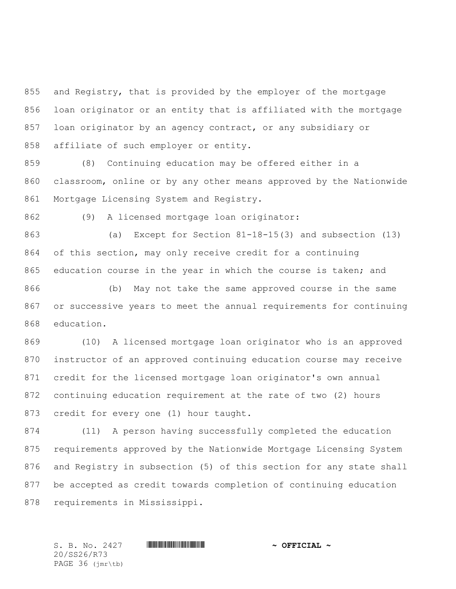and Registry, that is provided by the employer of the mortgage loan originator or an entity that is affiliated with the mortgage loan originator by an agency contract, or any subsidiary or affiliate of such employer or entity.

 (8) Continuing education may be offered either in a classroom, online or by any other means approved by the Nationwide Mortgage Licensing System and Registry.

(9) A licensed mortgage loan originator:

 (a) Except for Section 81-18-15(3) and subsection (13) of this section, may only receive credit for a continuing education course in the year in which the course is taken; and

 (b) May not take the same approved course in the same or successive years to meet the annual requirements for continuing education.

 (10) A licensed mortgage loan originator who is an approved instructor of an approved continuing education course may receive credit for the licensed mortgage loan originator's own annual continuing education requirement at the rate of two (2) hours credit for every one (1) hour taught.

 (11) A person having successfully completed the education requirements approved by the Nationwide Mortgage Licensing System and Registry in subsection (5) of this section for any state shall be accepted as credit towards completion of continuing education requirements in Mississippi.

20/SS26/R73 PAGE 36 (jmr\tb)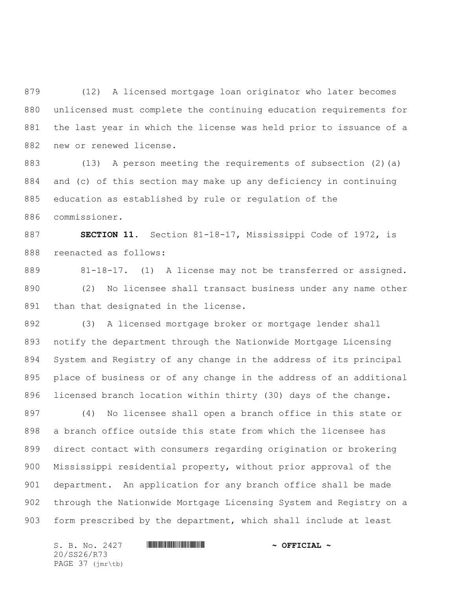(12) A licensed mortgage loan originator who later becomes unlicensed must complete the continuing education requirements for the last year in which the license was held prior to issuance of a new or renewed license.

 (13) A person meeting the requirements of subsection (2)(a) and (c) of this section may make up any deficiency in continuing education as established by rule or regulation of the commissioner.

 **SECTION 11.** Section 81-18-17, Mississippi Code of 1972, is reenacted as follows:

 81-18-17. (1) A license may not be transferred or assigned. (2) No licensee shall transact business under any name other than that designated in the license.

 (3) A licensed mortgage broker or mortgage lender shall notify the department through the Nationwide Mortgage Licensing System and Registry of any change in the address of its principal place of business or of any change in the address of an additional licensed branch location within thirty (30) days of the change.

 (4) No licensee shall open a branch office in this state or a branch office outside this state from which the licensee has direct contact with consumers regarding origination or brokering Mississippi residential property, without prior approval of the department. An application for any branch office shall be made through the Nationwide Mortgage Licensing System and Registry on a form prescribed by the department, which shall include at least

S. B. No. 2427 **\*\*\* AND \*\*\* AND \*\*\* AND \*\*\* OFFICIAL ~\*** 20/SS26/R73 PAGE 37 (jmr\tb)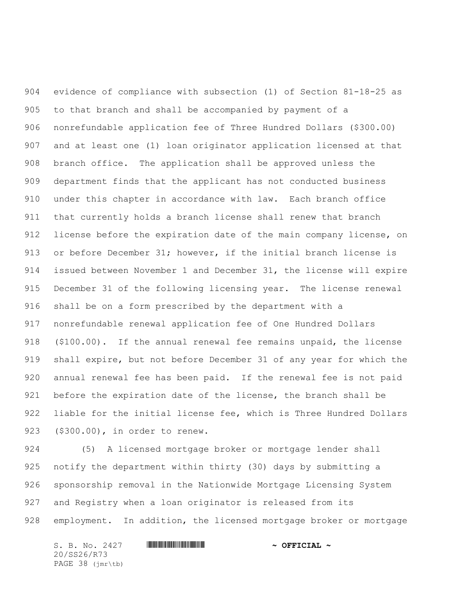evidence of compliance with subsection (1) of Section 81-18-25 as to that branch and shall be accompanied by payment of a nonrefundable application fee of Three Hundred Dollars (\$300.00) and at least one (1) loan originator application licensed at that branch office. The application shall be approved unless the department finds that the applicant has not conducted business under this chapter in accordance with law. Each branch office that currently holds a branch license shall renew that branch 912 license before the expiration date of the main company license, on 913 or before December 31; however, if the initial branch license is issued between November 1 and December 31, the license will expire December 31 of the following licensing year. The license renewal shall be on a form prescribed by the department with a nonrefundable renewal application fee of One Hundred Dollars (\$100.00). If the annual renewal fee remains unpaid, the license shall expire, but not before December 31 of any year for which the annual renewal fee has been paid. If the renewal fee is not paid before the expiration date of the license, the branch shall be liable for the initial license fee, which is Three Hundred Dollars (\$300.00), in order to renew.

 (5) A licensed mortgage broker or mortgage lender shall notify the department within thirty (30) days by submitting a sponsorship removal in the Nationwide Mortgage Licensing System and Registry when a loan originator is released from its employment. In addition, the licensed mortgage broker or mortgage

S. B. No. 2427 **\*\*\* AND \*\*\* AND \*\*\* AND \*\*\* OFFICIAL ~\*** 20/SS26/R73 PAGE 38 (jmr\tb)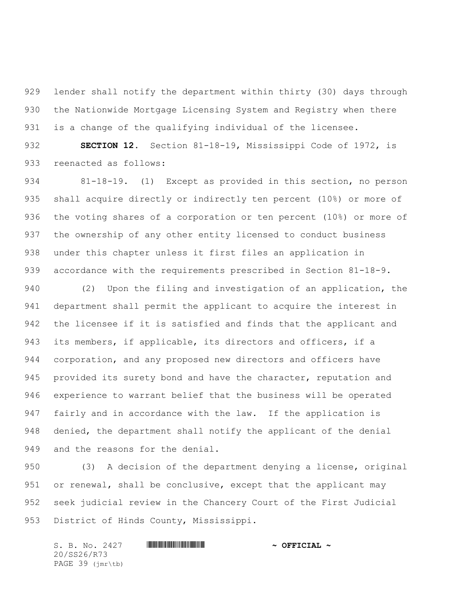lender shall notify the department within thirty (30) days through the Nationwide Mortgage Licensing System and Registry when there is a change of the qualifying individual of the licensee.

 **SECTION 12.** Section 81-18-19, Mississippi Code of 1972, is reenacted as follows:

 81-18-19. (1) Except as provided in this section, no person shall acquire directly or indirectly ten percent (10%) or more of the voting shares of a corporation or ten percent (10%) or more of the ownership of any other entity licensed to conduct business under this chapter unless it first files an application in accordance with the requirements prescribed in Section 81-18-9.

 (2) Upon the filing and investigation of an application, the department shall permit the applicant to acquire the interest in the licensee if it is satisfied and finds that the applicant and its members, if applicable, its directors and officers, if a corporation, and any proposed new directors and officers have 945 provided its surety bond and have the character, reputation and experience to warrant belief that the business will be operated fairly and in accordance with the law. If the application is denied, the department shall notify the applicant of the denial and the reasons for the denial.

 (3) A decision of the department denying a license, original or renewal, shall be conclusive, except that the applicant may seek judicial review in the Chancery Court of the First Judicial District of Hinds County, Mississippi.

S. B. No. 2427 **\*\*\* AND \*\*\* AND \*\*\* AND \*\*\* OFFICIAL ~\*** 20/SS26/R73 PAGE 39 (jmr\tb)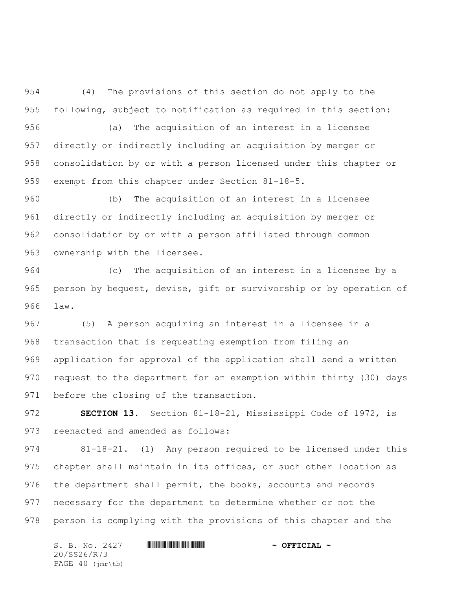(4) The provisions of this section do not apply to the following, subject to notification as required in this section:

 (a) The acquisition of an interest in a licensee directly or indirectly including an acquisition by merger or consolidation by or with a person licensed under this chapter or exempt from this chapter under Section 81-18-5.

 (b) The acquisition of an interest in a licensee directly or indirectly including an acquisition by merger or consolidation by or with a person affiliated through common ownership with the licensee.

 (c) The acquisition of an interest in a licensee by a person by bequest, devise, gift or survivorship or by operation of law.

 (5) A person acquiring an interest in a licensee in a transaction that is requesting exemption from filing an application for approval of the application shall send a written request to the department for an exemption within thirty (30) days 971 before the closing of the transaction.

 **SECTION 13.** Section 81-18-21, Mississippi Code of 1972, is reenacted and amended as follows:

 81-18-21. (1) Any person required to be licensed under this chapter shall maintain in its offices, or such other location as the department shall permit, the books, accounts and records necessary for the department to determine whether or not the person is complying with the provisions of this chapter and the

S. B. No. 2427 **\*\*\* AND \*\*\* AND \*\*\* AND \*\*\* OFFICIAL ~\*** 20/SS26/R73 PAGE 40 (jmr\tb)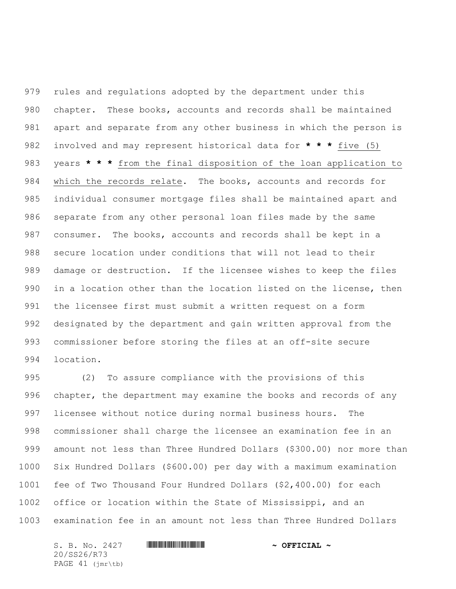rules and regulations adopted by the department under this chapter. These books, accounts and records shall be maintained apart and separate from any other business in which the person is involved and may represent historical data for **\* \* \*** five (5) years **\* \* \*** from the final disposition of the loan application to which the records relate. The books, accounts and records for individual consumer mortgage files shall be maintained apart and separate from any other personal loan files made by the same consumer. The books, accounts and records shall be kept in a secure location under conditions that will not lead to their damage or destruction. If the licensee wishes to keep the files in a location other than the location listed on the license, then the licensee first must submit a written request on a form designated by the department and gain written approval from the commissioner before storing the files at an off-site secure location.

 (2) To assure compliance with the provisions of this chapter, the department may examine the books and records of any licensee without notice during normal business hours. The commissioner shall charge the licensee an examination fee in an amount not less than Three Hundred Dollars (\$300.00) nor more than Six Hundred Dollars (\$600.00) per day with a maximum examination fee of Two Thousand Four Hundred Dollars (\$2,400.00) for each office or location within the State of Mississippi, and an examination fee in an amount not less than Three Hundred Dollars

S. B. No. 2427 **\*\*\* AND \*\*\* AND \*\*\* AND \*\*\* OFFICIAL ~\*** 20/SS26/R73 PAGE 41 (jmr\tb)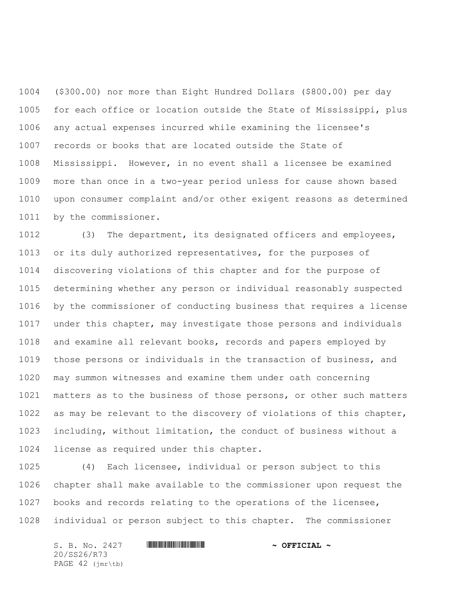(\$300.00) nor more than Eight Hundred Dollars (\$800.00) per day for each office or location outside the State of Mississippi, plus any actual expenses incurred while examining the licensee's records or books that are located outside the State of Mississippi. However, in no event shall a licensee be examined more than once in a two-year period unless for cause shown based upon consumer complaint and/or other exigent reasons as determined by the commissioner.

 (3) The department, its designated officers and employees, or its duly authorized representatives, for the purposes of discovering violations of this chapter and for the purpose of determining whether any person or individual reasonably suspected by the commissioner of conducting business that requires a license under this chapter, may investigate those persons and individuals and examine all relevant books, records and papers employed by those persons or individuals in the transaction of business, and may summon witnesses and examine them under oath concerning matters as to the business of those persons, or other such matters as may be relevant to the discovery of violations of this chapter, including, without limitation, the conduct of business without a license as required under this chapter.

 (4) Each licensee, individual or person subject to this chapter shall make available to the commissioner upon request the books and records relating to the operations of the licensee, individual or person subject to this chapter. The commissioner

S. B. No. 2427 **\*\*\* INSTERNAL # ^ OFFICIAL ~** 20/SS26/R73 PAGE 42 (jmr\tb)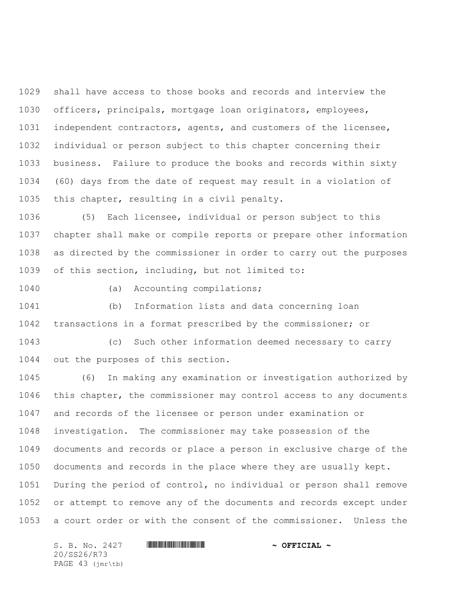shall have access to those books and records and interview the officers, principals, mortgage loan originators, employees, independent contractors, agents, and customers of the licensee, individual or person subject to this chapter concerning their business. Failure to produce the books and records within sixty (60) days from the date of request may result in a violation of this chapter, resulting in a civil penalty.

 (5) Each licensee, individual or person subject to this chapter shall make or compile reports or prepare other information as directed by the commissioner in order to carry out the purposes of this section, including, but not limited to:

(a) Accounting compilations;

 (b) Information lists and data concerning loan transactions in a format prescribed by the commissioner; or

 (c) Such other information deemed necessary to carry out the purposes of this section.

 (6) In making any examination or investigation authorized by this chapter, the commissioner may control access to any documents and records of the licensee or person under examination or investigation. The commissioner may take possession of the documents and records or place a person in exclusive charge of the documents and records in the place where they are usually kept. During the period of control, no individual or person shall remove or attempt to remove any of the documents and records except under a court order or with the consent of the commissioner. Unless the

S. B. No. 2427 **\*\*\* AND \*\*\* AND \*\*\* AND \*\*\* OFFICIAL ~\*** 20/SS26/R73 PAGE 43 (jmr\tb)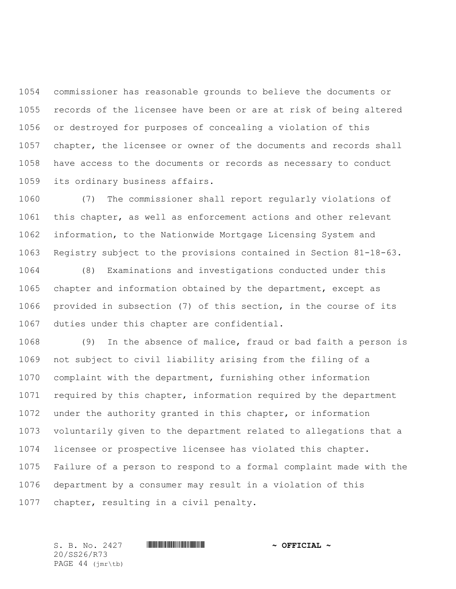commissioner has reasonable grounds to believe the documents or records of the licensee have been or are at risk of being altered or destroyed for purposes of concealing a violation of this chapter, the licensee or owner of the documents and records shall have access to the documents or records as necessary to conduct its ordinary business affairs.

 (7) The commissioner shall report regularly violations of this chapter, as well as enforcement actions and other relevant information, to the Nationwide Mortgage Licensing System and Registry subject to the provisions contained in Section 81-18-63.

 (8) Examinations and investigations conducted under this chapter and information obtained by the department, except as provided in subsection (7) of this section, in the course of its duties under this chapter are confidential.

 (9) In the absence of malice, fraud or bad faith a person is not subject to civil liability arising from the filing of a complaint with the department, furnishing other information 1071 required by this chapter, information required by the department under the authority granted in this chapter, or information voluntarily given to the department related to allegations that a licensee or prospective licensee has violated this chapter. Failure of a person to respond to a formal complaint made with the department by a consumer may result in a violation of this chapter, resulting in a civil penalty.

S. B. No. 2427 \*SS26/R73\* **~ OFFICIAL ~** 20/SS26/R73 PAGE 44 (jmr\tb)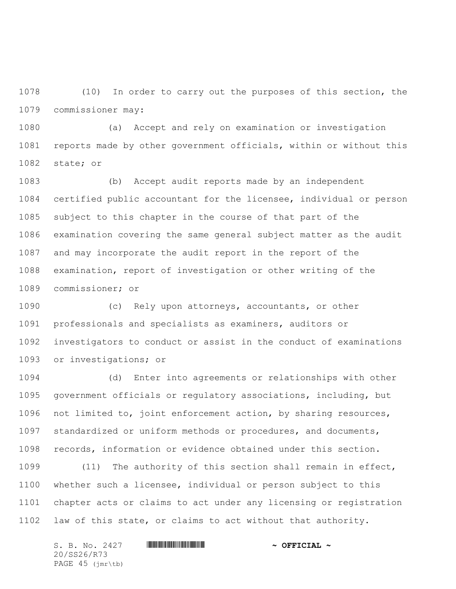(10) In order to carry out the purposes of this section, the commissioner may:

 (a) Accept and rely on examination or investigation reports made by other government officials, within or without this state; or

 (b) Accept audit reports made by an independent certified public accountant for the licensee, individual or person subject to this chapter in the course of that part of the examination covering the same general subject matter as the audit and may incorporate the audit report in the report of the examination, report of investigation or other writing of the commissioner; or

 (c) Rely upon attorneys, accountants, or other professionals and specialists as examiners, auditors or investigators to conduct or assist in the conduct of examinations or investigations; or

 (d) Enter into agreements or relationships with other government officials or regulatory associations, including, but not limited to, joint enforcement action, by sharing resources, standardized or uniform methods or procedures, and documents, records, information or evidence obtained under this section.

 (11) The authority of this section shall remain in effect, whether such a licensee, individual or person subject to this chapter acts or claims to act under any licensing or registration law of this state, or claims to act without that authority.

S. B. No. 2427 **\*\*\* INSTERNAL # ^ OFFICIAL ~** 20/SS26/R73 PAGE 45 (jmr\tb)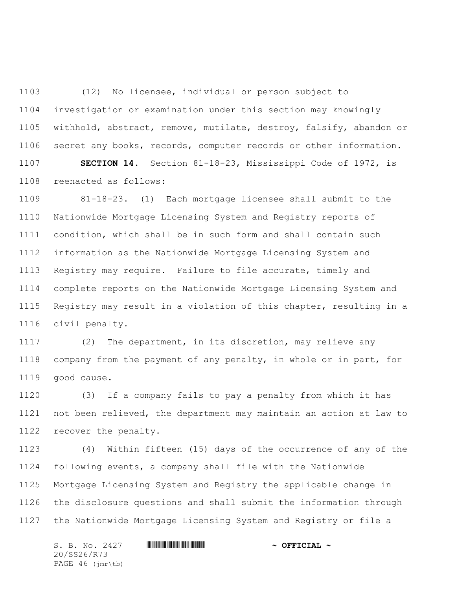(12) No licensee, individual or person subject to investigation or examination under this section may knowingly withhold, abstract, remove, mutilate, destroy, falsify, abandon or secret any books, records, computer records or other information. **SECTION 14.** Section 81-18-23, Mississippi Code of 1972, is

reenacted as follows:

 81-18-23. (1) Each mortgage licensee shall submit to the Nationwide Mortgage Licensing System and Registry reports of condition, which shall be in such form and shall contain such information as the Nationwide Mortgage Licensing System and Registry may require. Failure to file accurate, timely and complete reports on the Nationwide Mortgage Licensing System and Registry may result in a violation of this chapter, resulting in a civil penalty.

 (2) The department, in its discretion, may relieve any company from the payment of any penalty, in whole or in part, for good cause.

 (3) If a company fails to pay a penalty from which it has not been relieved, the department may maintain an action at law to recover the penalty.

 (4) Within fifteen (15) days of the occurrence of any of the following events, a company shall file with the Nationwide Mortgage Licensing System and Registry the applicable change in the disclosure questions and shall submit the information through the Nationwide Mortgage Licensing System and Registry or file a

S. B. No. 2427 **\*\*\* INSTERNAL # ^ OFFICIAL ~** 20/SS26/R73 PAGE 46 (jmr\tb)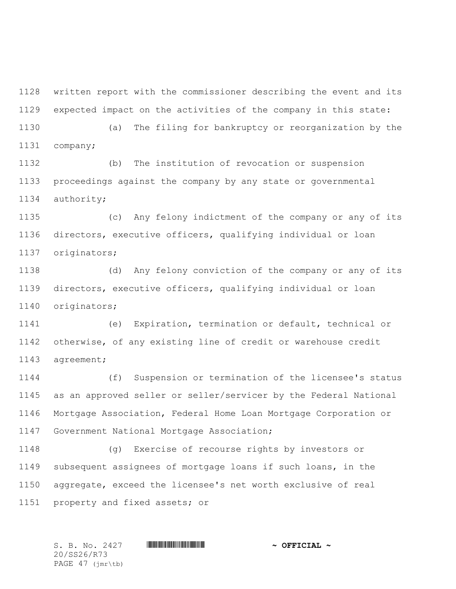written report with the commissioner describing the event and its expected impact on the activities of the company in this state:

 (a) The filing for bankruptcy or reorganization by the company;

 (b) The institution of revocation or suspension proceedings against the company by any state or governmental authority;

 (c) Any felony indictment of the company or any of its directors, executive officers, qualifying individual or loan originators;

 (d) Any felony conviction of the company or any of its directors, executive officers, qualifying individual or loan originators;

 (e) Expiration, termination or default, technical or otherwise, of any existing line of credit or warehouse credit agreement;

 (f) Suspension or termination of the licensee's status as an approved seller or seller/servicer by the Federal National Mortgage Association, Federal Home Loan Mortgage Corporation or Government National Mortgage Association;

 (g) Exercise of recourse rights by investors or subsequent assignees of mortgage loans if such loans, in the aggregate, exceed the licensee's net worth exclusive of real property and fixed assets; or

S. B. No. 2427 \*SS26/R73\* **~ OFFICIAL ~** 20/SS26/R73 PAGE 47 (jmr\tb)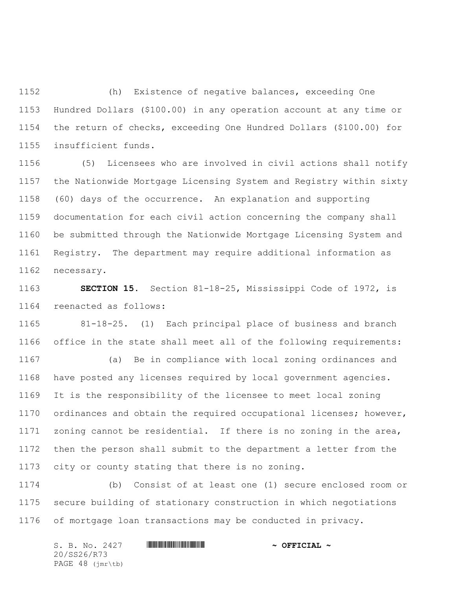(h) Existence of negative balances, exceeding One Hundred Dollars (\$100.00) in any operation account at any time or the return of checks, exceeding One Hundred Dollars (\$100.00) for insufficient funds.

 (5) Licensees who are involved in civil actions shall notify the Nationwide Mortgage Licensing System and Registry within sixty (60) days of the occurrence. An explanation and supporting documentation for each civil action concerning the company shall be submitted through the Nationwide Mortgage Licensing System and Registry. The department may require additional information as necessary.

 **SECTION 15.** Section 81-18-25, Mississippi Code of 1972, is reenacted as follows:

 81-18-25. (1) Each principal place of business and branch office in the state shall meet all of the following requirements:

 (a) Be in compliance with local zoning ordinances and have posted any licenses required by local government agencies. It is the responsibility of the licensee to meet local zoning ordinances and obtain the required occupational licenses; however, zoning cannot be residential. If there is no zoning in the area, then the person shall submit to the department a letter from the city or county stating that there is no zoning.

 (b) Consist of at least one (1) secure enclosed room or secure building of stationary construction in which negotiations of mortgage loan transactions may be conducted in privacy.

S. B. No. 2427 **\*\*\* INSTERNAL # ^ OFFICIAL ~** 20/SS26/R73 PAGE 48 (jmr\tb)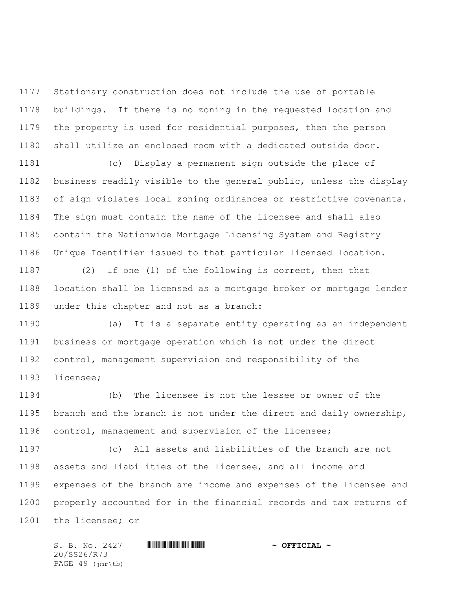Stationary construction does not include the use of portable buildings. If there is no zoning in the requested location and the property is used for residential purposes, then the person shall utilize an enclosed room with a dedicated outside door.

 (c) Display a permanent sign outside the place of business readily visible to the general public, unless the display of sign violates local zoning ordinances or restrictive covenants. The sign must contain the name of the licensee and shall also contain the Nationwide Mortgage Licensing System and Registry Unique Identifier issued to that particular licensed location.

 (2) If one (1) of the following is correct, then that location shall be licensed as a mortgage broker or mortgage lender under this chapter and not as a branch:

 (a) It is a separate entity operating as an independent business or mortgage operation which is not under the direct control, management supervision and responsibility of the licensee;

 (b) The licensee is not the lessee or owner of the branch and the branch is not under the direct and daily ownership, control, management and supervision of the licensee;

 (c) All assets and liabilities of the branch are not assets and liabilities of the licensee, and all income and expenses of the branch are income and expenses of the licensee and properly accounted for in the financial records and tax returns of the licensee; or

S. B. No. 2427 **\*\*\* INSTERNAL # ^ OFFICIAL ~** 20/SS26/R73 PAGE 49 (jmr\tb)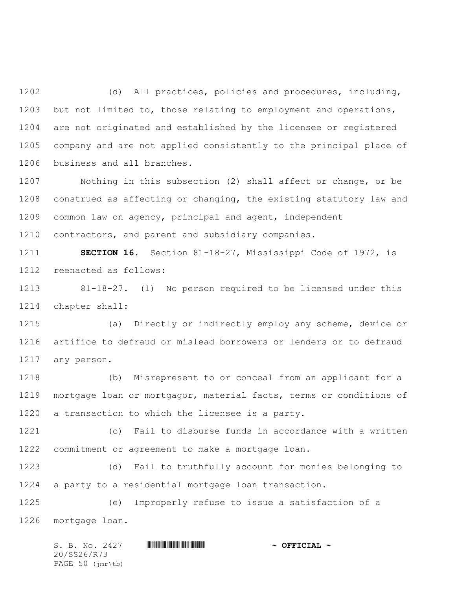(d) All practices, policies and procedures, including, but not limited to, those relating to employment and operations, are not originated and established by the licensee or registered company and are not applied consistently to the principal place of business and all branches.

 Nothing in this subsection (2) shall affect or change, or be construed as affecting or changing, the existing statutory law and common law on agency, principal and agent, independent contractors, and parent and subsidiary companies.

 **SECTION 16.** Section 81-18-27, Mississippi Code of 1972, is reenacted as follows:

 81-18-27. (1) No person required to be licensed under this chapter shall:

 (a) Directly or indirectly employ any scheme, device or artifice to defraud or mislead borrowers or lenders or to defraud any person.

 (b) Misrepresent to or conceal from an applicant for a mortgage loan or mortgagor, material facts, terms or conditions of a transaction to which the licensee is a party.

 (c) Fail to disburse funds in accordance with a written commitment or agreement to make a mortgage loan.

 (d) Fail to truthfully account for monies belonging to a party to a residential mortgage loan transaction.

 (e) Improperly refuse to issue a satisfaction of a mortgage loan.

S. B. No. 2427 **\*\*\* INSTERNAL # ^ OFFICIAL ~** 20/SS26/R73 PAGE 50 (jmr\tb)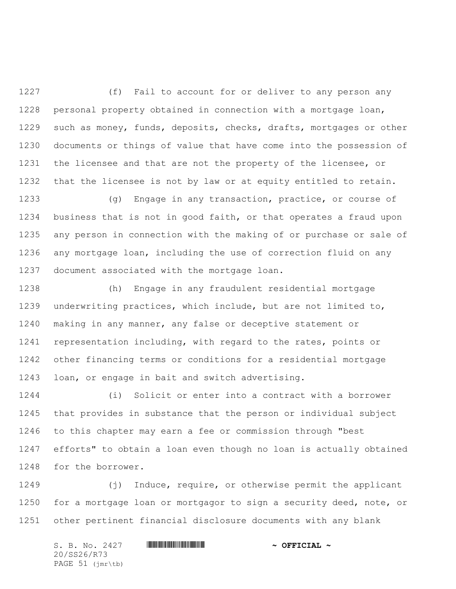(f) Fail to account for or deliver to any person any personal property obtained in connection with a mortgage loan, such as money, funds, deposits, checks, drafts, mortgages or other documents or things of value that have come into the possession of the licensee and that are not the property of the licensee, or that the licensee is not by law or at equity entitled to retain.

 (g) Engage in any transaction, practice, or course of business that is not in good faith, or that operates a fraud upon any person in connection with the making of or purchase or sale of any mortgage loan, including the use of correction fluid on any document associated with the mortgage loan.

 (h) Engage in any fraudulent residential mortgage underwriting practices, which include, but are not limited to, making in any manner, any false or deceptive statement or representation including, with regard to the rates, points or other financing terms or conditions for a residential mortgage loan, or engage in bait and switch advertising.

 (i) Solicit or enter into a contract with a borrower that provides in substance that the person or individual subject to this chapter may earn a fee or commission through "best efforts" to obtain a loan even though no loan is actually obtained for the borrower.

 (j) Induce, require, or otherwise permit the applicant for a mortgage loan or mortgagor to sign a security deed, note, or other pertinent financial disclosure documents with any blank

S. B. No. 2427 **\*\*\* AND \*\*\* AND \*\*\* AND \*\*\* OFFICIAL ~\*** 20/SS26/R73 PAGE 51 (jmr\tb)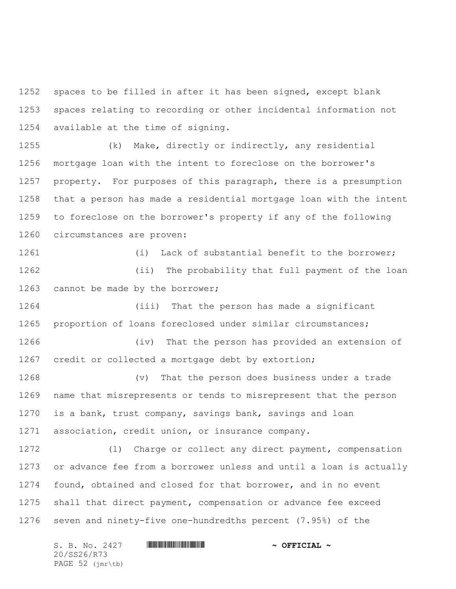spaces to be filled in after it has been signed, except blank spaces relating to recording or other incidental information not available at the time of signing.

 (k) Make, directly or indirectly, any residential mortgage loan with the intent to foreclose on the borrower's property. For purposes of this paragraph, there is a presumption that a person has made a residential mortgage loan with the intent to foreclose on the borrower's property if any of the following circumstances are proven:

 (i) Lack of substantial benefit to the borrower; (ii) The probability that full payment of the loan 1263 cannot be made by the borrower;

 (iii) That the person has made a significant proportion of loans foreclosed under similar circumstances;

 (iv) That the person has provided an extension of credit or collected a mortgage debt by extortion;

 (v) That the person does business under a trade name that misrepresents or tends to misrepresent that the person is a bank, trust company, savings bank, savings and loan association, credit union, or insurance company.

 (l) Charge or collect any direct payment, compensation or advance fee from a borrower unless and until a loan is actually found, obtained and closed for that borrower, and in no event shall that direct payment, compensation or advance fee exceed seven and ninety-five one-hundredths percent (7.95%) of the

S. B. No. 2427 **\*\*\* INSTERNAL # ^ OFFICIAL ~** 20/SS26/R73 PAGE 52 (jmr\tb)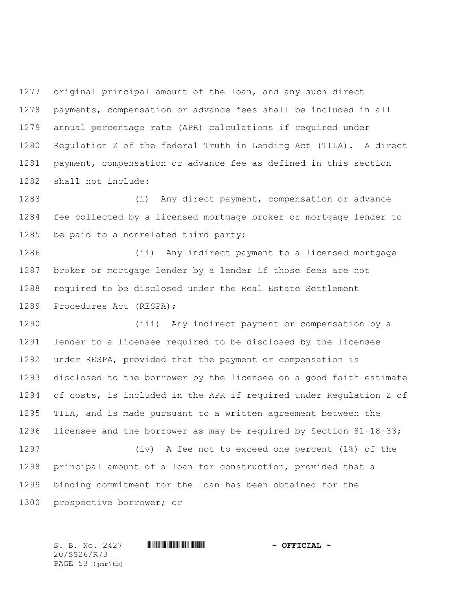original principal amount of the loan, and any such direct payments, compensation or advance fees shall be included in all annual percentage rate (APR) calculations if required under Regulation Z of the federal Truth in Lending Act (TILA). A direct payment, compensation or advance fee as defined in this section shall not include:

 (i) Any direct payment, compensation or advance fee collected by a licensed mortgage broker or mortgage lender to be paid to a nonrelated third party;

 (ii) Any indirect payment to a licensed mortgage broker or mortgage lender by a lender if those fees are not required to be disclosed under the Real Estate Settlement Procedures Act (RESPA);

 (iii) Any indirect payment or compensation by a lender to a licensee required to be disclosed by the licensee under RESPA, provided that the payment or compensation is disclosed to the borrower by the licensee on a good faith estimate of costs, is included in the APR if required under Regulation Z of TILA, and is made pursuant to a written agreement between the licensee and the borrower as may be required by Section 81-18-33; (iv) A fee not to exceed one percent (1%) of the principal amount of a loan for construction, provided that a binding commitment for the loan has been obtained for the

prospective borrower; or

20/SS26/R73 PAGE 53 (jmr\tb)

S. B. No. 2427 \*SS26/R73\* **~ OFFICIAL ~**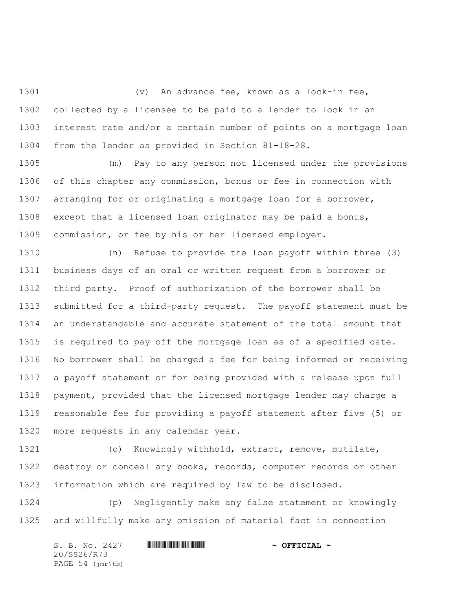(v) An advance fee, known as a lock-in fee, collected by a licensee to be paid to a lender to lock in an interest rate and/or a certain number of points on a mortgage loan from the lender as provided in Section 81-18-28.

 (m) Pay to any person not licensed under the provisions of this chapter any commission, bonus or fee in connection with arranging for or originating a mortgage loan for a borrower, except that a licensed loan originator may be paid a bonus, commission, or fee by his or her licensed employer.

 (n) Refuse to provide the loan payoff within three (3) business days of an oral or written request from a borrower or third party. Proof of authorization of the borrower shall be submitted for a third-party request. The payoff statement must be an understandable and accurate statement of the total amount that is required to pay off the mortgage loan as of a specified date. No borrower shall be charged a fee for being informed or receiving a payoff statement or for being provided with a release upon full payment, provided that the licensed mortgage lender may charge a reasonable fee for providing a payoff statement after five (5) or more requests in any calendar year.

 (o) Knowingly withhold, extract, remove, mutilate, destroy or conceal any books, records, computer records or other information which are required by law to be disclosed.

 (p) Negligently make any false statement or knowingly and willfully make any omission of material fact in connection

S. B. No. 2427 **\*\*\* AND \*\*\* AND \*\*\* AND \*\*\* OFFICIAL ~\*** 20/SS26/R73 PAGE 54 (jmr\tb)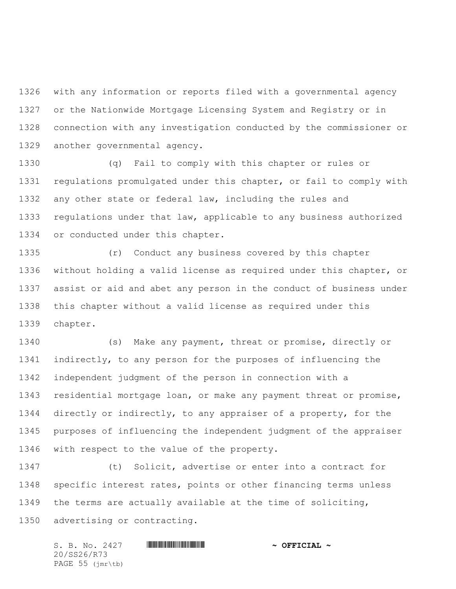with any information or reports filed with a governmental agency or the Nationwide Mortgage Licensing System and Registry or in connection with any investigation conducted by the commissioner or another governmental agency.

 (q) Fail to comply with this chapter or rules or regulations promulgated under this chapter, or fail to comply with any other state or federal law, including the rules and regulations under that law, applicable to any business authorized or conducted under this chapter.

 (r) Conduct any business covered by this chapter without holding a valid license as required under this chapter, or assist or aid and abet any person in the conduct of business under this chapter without a valid license as required under this chapter.

 (s) Make any payment, threat or promise, directly or indirectly, to any person for the purposes of influencing the independent judgment of the person in connection with a residential mortgage loan, or make any payment threat or promise, directly or indirectly, to any appraiser of a property, for the purposes of influencing the independent judgment of the appraiser with respect to the value of the property.

 (t) Solicit, advertise or enter into a contract for specific interest rates, points or other financing terms unless the terms are actually available at the time of soliciting, advertising or contracting.

S. B. No. 2427 **\*\*\* INSTERNAL # ^ OFFICIAL ~** 20/SS26/R73 PAGE 55 (jmr\tb)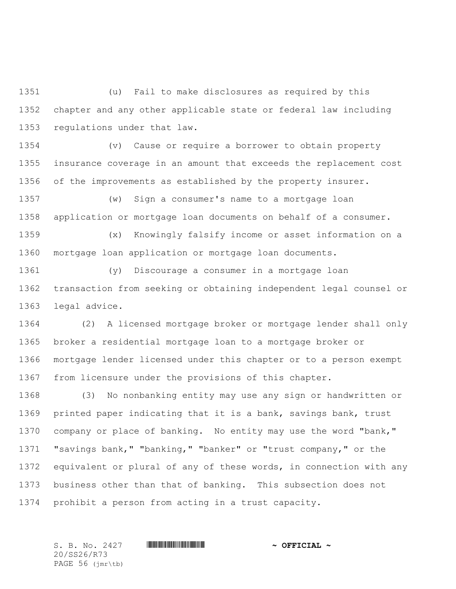(u) Fail to make disclosures as required by this chapter and any other applicable state or federal law including regulations under that law.

 (v) Cause or require a borrower to obtain property insurance coverage in an amount that exceeds the replacement cost of the improvements as established by the property insurer.

 (w) Sign a consumer's name to a mortgage loan application or mortgage loan documents on behalf of a consumer.

 (x) Knowingly falsify income or asset information on a mortgage loan application or mortgage loan documents.

 (y) Discourage a consumer in a mortgage loan transaction from seeking or obtaining independent legal counsel or legal advice.

 (2) A licensed mortgage broker or mortgage lender shall only broker a residential mortgage loan to a mortgage broker or mortgage lender licensed under this chapter or to a person exempt from licensure under the provisions of this chapter.

 (3) No nonbanking entity may use any sign or handwritten or printed paper indicating that it is a bank, savings bank, trust company or place of banking. No entity may use the word "bank," "savings bank," "banking," "banker" or "trust company," or the equivalent or plural of any of these words, in connection with any business other than that of banking. This subsection does not prohibit a person from acting in a trust capacity.

20/SS26/R73 PAGE 56 (jmr\tb)

S. B. No. 2427 **\*\*\* INSTERNAL # ^ OFFICIAL ~**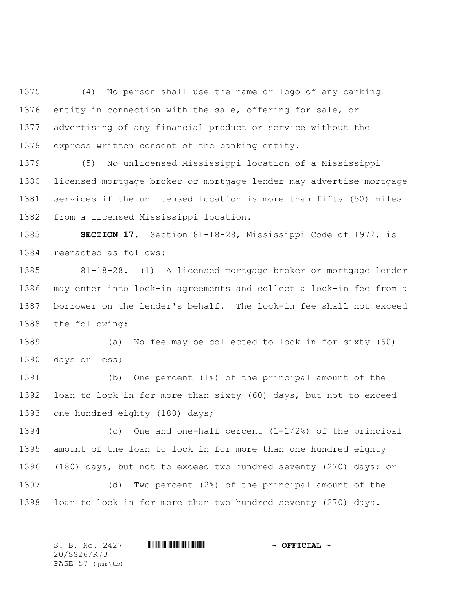(4) No person shall use the name or logo of any banking entity in connection with the sale, offering for sale, or advertising of any financial product or service without the express written consent of the banking entity.

 (5) No unlicensed Mississippi location of a Mississippi licensed mortgage broker or mortgage lender may advertise mortgage services if the unlicensed location is more than fifty (50) miles from a licensed Mississippi location.

 **SECTION 17.** Section 81-18-28, Mississippi Code of 1972, is reenacted as follows:

 81-18-28. (1) A licensed mortgage broker or mortgage lender may enter into lock-in agreements and collect a lock-in fee from a borrower on the lender's behalf. The lock-in fee shall not exceed the following:

 (a) No fee may be collected to lock in for sixty (60) days or less;

 (b) One percent (1%) of the principal amount of the loan to lock in for more than sixty (60) days, but not to exceed one hundred eighty (180) days;

 (c) One and one-half percent (1-1/2%) of the principal amount of the loan to lock in for more than one hundred eighty (180) days, but not to exceed two hundred seventy (270) days; or

 (d) Two percent (2%) of the principal amount of the loan to lock in for more than two hundred seventy (270) days.

S. B. No. 2427 \*SS26/R73\* **~ OFFICIAL ~** 20/SS26/R73 PAGE 57 (jmr\tb)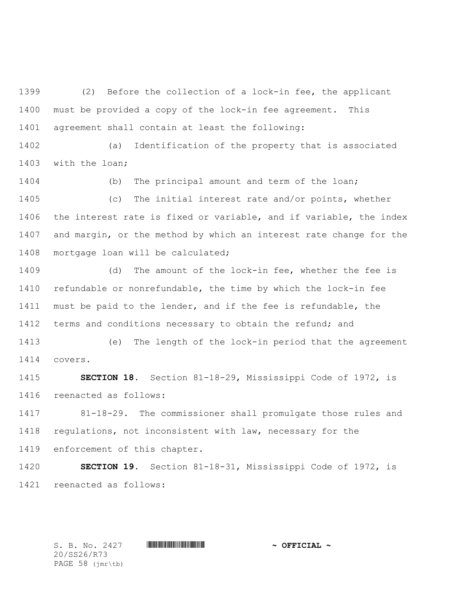(2) Before the collection of a lock-in fee, the applicant must be provided a copy of the lock-in fee agreement. This agreement shall contain at least the following:

 (a) Identification of the property that is associated with the loan;

 (b) The principal amount and term of the loan; (c) The initial interest rate and/or points, whether the interest rate is fixed or variable, and if variable, the index and margin, or the method by which an interest rate change for the mortgage loan will be calculated;

 (d) The amount of the lock-in fee, whether the fee is refundable or nonrefundable, the time by which the lock-in fee must be paid to the lender, and if the fee is refundable, the 1412 terms and conditions necessary to obtain the refund; and

 (e) The length of the lock-in period that the agreement covers.

 **SECTION 18.** Section 81-18-29, Mississippi Code of 1972, is reenacted as follows:

 81-18-29. The commissioner shall promulgate those rules and 1418 regulations, not inconsistent with law, necessary for the enforcement of this chapter.

 **SECTION 19.** Section 81-18-31, Mississippi Code of 1972, is reenacted as follows:

S. B. No. 2427 **\*\*\* INSTERNAL # ^ OFFICIAL ~** 

20/SS26/R73 PAGE 58 (jmr\tb)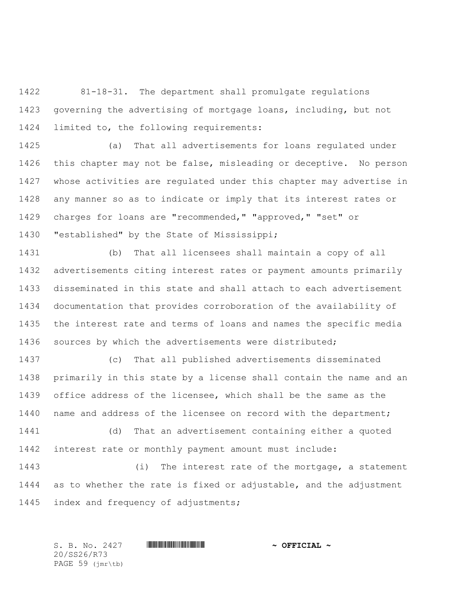81-18-31. The department shall promulgate regulations governing the advertising of mortgage loans, including, but not limited to, the following requirements:

 (a) That all advertisements for loans regulated under this chapter may not be false, misleading or deceptive. No person whose activities are regulated under this chapter may advertise in any manner so as to indicate or imply that its interest rates or charges for loans are "recommended," "approved," "set" or "established" by the State of Mississippi;

 (b) That all licensees shall maintain a copy of all advertisements citing interest rates or payment amounts primarily disseminated in this state and shall attach to each advertisement documentation that provides corroboration of the availability of the interest rate and terms of loans and names the specific media sources by which the advertisements were distributed;

 (c) That all published advertisements disseminated primarily in this state by a license shall contain the name and an office address of the licensee, which shall be the same as the name and address of the licensee on record with the department; (d) That an advertisement containing either a quoted

interest rate or monthly payment amount must include:

 (i) The interest rate of the mortgage, a statement as to whether the rate is fixed or adjustable, and the adjustment index and frequency of adjustments;

S. B. No. 2427 \*SS26/R73\* **~ OFFICIAL ~** 20/SS26/R73 PAGE 59 (jmr\tb)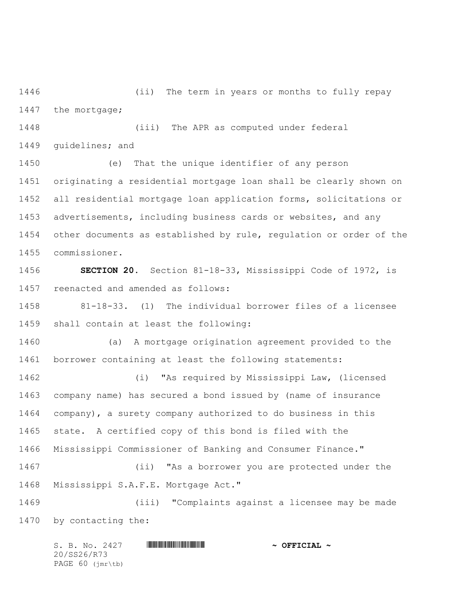(ii) The term in years or months to fully repay 1447 the mortgage;

 (iii) The APR as computed under federal guidelines; and

 (e) That the unique identifier of any person originating a residential mortgage loan shall be clearly shown on all residential mortgage loan application forms, solicitations or advertisements, including business cards or websites, and any other documents as established by rule, regulation or order of the commissioner.

 **SECTION 20.** Section 81-18-33, Mississippi Code of 1972, is reenacted and amended as follows:

 81-18-33. (1) The individual borrower files of a licensee shall contain at least the following:

 (a) A mortgage origination agreement provided to the borrower containing at least the following statements:

 (i) "As required by Mississippi Law, (licensed company name) has secured a bond issued by (name of insurance company), a surety company authorized to do business in this state. A certified copy of this bond is filed with the Mississippi Commissioner of Banking and Consumer Finance." (ii) "As a borrower you are protected under the Mississippi S.A.F.E. Mortgage Act." (iii) "Complaints against a licensee may be made

by contacting the:

| S. B. No. 2427   | <u> I de la provincia de la provincia de la provincia del m</u> | $\sim$ OFFICIAL $\sim$ |
|------------------|-----------------------------------------------------------------|------------------------|
| 20/SS26/R73      |                                                                 |                        |
| PAGE 60 (jmr\tb) |                                                                 |                        |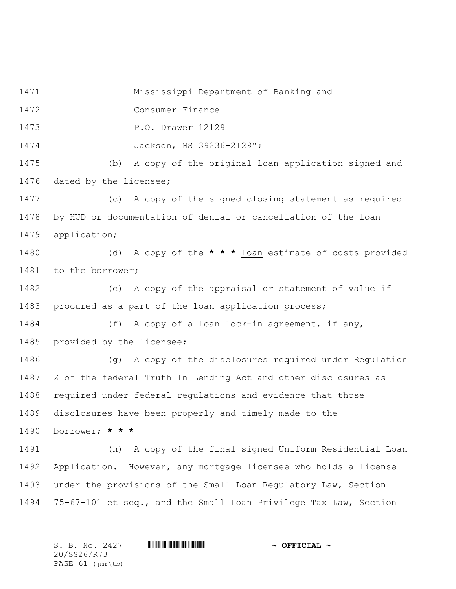Mississippi Department of Banking and

Consumer Finance

P.O. Drawer 12129

Jackson, MS 39236-2129";

 (b) A copy of the original loan application signed and dated by the licensee;

 (c) A copy of the signed closing statement as required by HUD or documentation of denial or cancellation of the loan application;

 (d) A copy of the **\* \* \*** loan estimate of costs provided to the borrower;

 (e) A copy of the appraisal or statement of value if procured as a part of the loan application process;

 (f) A copy of a loan lock-in agreement, if any, provided by the licensee;

 (g) A copy of the disclosures required under Regulation Z of the federal Truth In Lending Act and other disclosures as required under federal regulations and evidence that those disclosures have been properly and timely made to the borrower; **\* \* \***

 (h) A copy of the final signed Uniform Residential Loan Application. However, any mortgage licensee who holds a license under the provisions of the Small Loan Regulatory Law, Section 75-67-101 et seq., and the Small Loan Privilege Tax Law, Section

S. B. No. 2427 **\*\*\* INSTERNAL # ^ OFFICIAL ~** 20/SS26/R73 PAGE 61 (jmr\tb)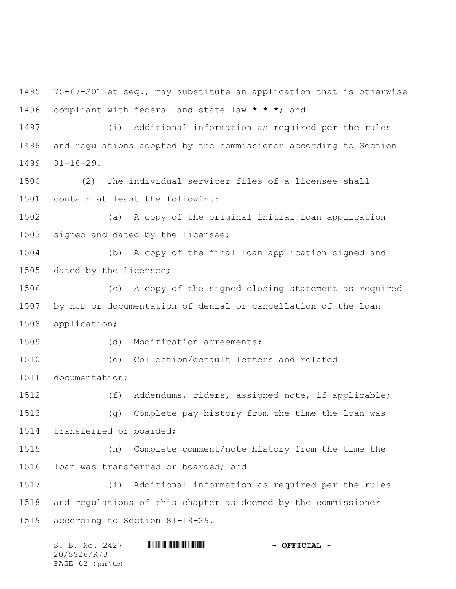75-67-201 et seq., may substitute an application that is otherwise compliant with federal and state law **\* \* \***; and

 (i) Additional information as required per the rules and regulations adopted by the commissioner according to Section 81-18-29.

 (2) The individual servicer files of a licensee shall contain at least the following:

 (a) A copy of the original initial loan application signed and dated by the licensee;

 (b) A copy of the final loan application signed and dated by the licensee;

 (c) A copy of the signed closing statement as required by HUD or documentation of denial or cancellation of the loan application;

1509 (d) Modification agreements;

(e) Collection/default letters and related

documentation;

 (f) Addendums, riders, assigned note, if applicable; (g) Complete pay history from the time the loan was transferred or boarded;

 (h) Complete comment/note history from the time the loan was transferred or boarded; and

 (i) Additional information as required per the rules and regulations of this chapter as deemed by the commissioner according to Section 81-18-29.

| S. B. No. 2427     | $\sim$ OFFICIAL $\sim$ |
|--------------------|------------------------|
| 20/SS26/R73        |                        |
| PAGE $62$ (imr\tb) |                        |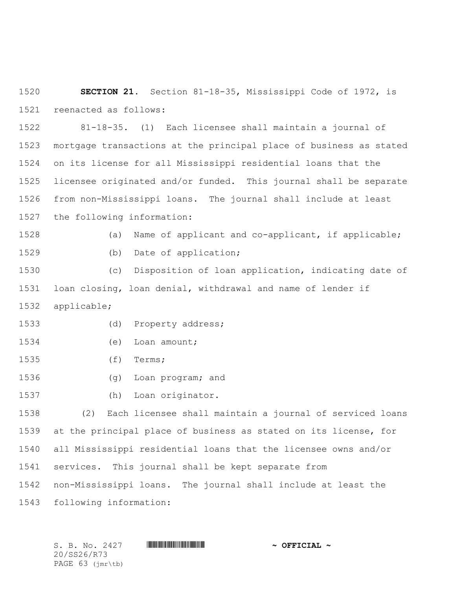**SECTION 21.** Section 81-18-35, Mississippi Code of 1972, is reenacted as follows:

 81-18-35. (1) Each licensee shall maintain a journal of mortgage transactions at the principal place of business as stated on its license for all Mississippi residential loans that the licensee originated and/or funded. This journal shall be separate from non-Mississippi loans. The journal shall include at least the following information:

 (a) Name of applicant and co-applicant, if applicable; 1529 (b) Date of application;

 (c) Disposition of loan application, indicating date of loan closing, loan denial, withdrawal and name of lender if applicable;

- (d) Property address;
- (e) Loan amount;
- (f) Terms;
- (g) Loan program; and
- (h) Loan originator.

 (2) Each licensee shall maintain a journal of serviced loans at the principal place of business as stated on its license, for all Mississippi residential loans that the licensee owns and/or services. This journal shall be kept separate from non-Mississippi loans. The journal shall include at least the following information:

20/SS26/R73 PAGE 63 (jmr\tb)

S. B. No. 2427 \*SS26/R73\* **~ OFFICIAL ~**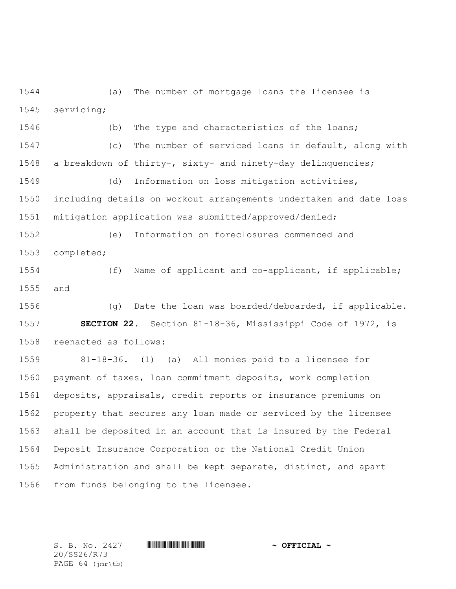(a) The number of mortgage loans the licensee is servicing;

 (b) The type and characteristics of the loans; (c) The number of serviced loans in default, along with a breakdown of thirty-, sixty- and ninety-day delinquencies;

 (d) Information on loss mitigation activities, including details on workout arrangements undertaken and date loss mitigation application was submitted/approved/denied;

 (e) Information on foreclosures commenced and completed;

 (f) Name of applicant and co-applicant, if applicable; and

 (g) Date the loan was boarded/deboarded, if applicable. **SECTION 22.** Section 81-18-36, Mississippi Code of 1972, is reenacted as follows:

 81-18-36. (1) (a) All monies paid to a licensee for payment of taxes, loan commitment deposits, work completion deposits, appraisals, credit reports or insurance premiums on property that secures any loan made or serviced by the licensee shall be deposited in an account that is insured by the Federal Deposit Insurance Corporation or the National Credit Union Administration and shall be kept separate, distinct, and apart from funds belonging to the licensee.

20/SS26/R73 PAGE 64 (jmr\tb)

S. B. No. 2427 **\*\*\* INSTERNAL # ^ OFFICIAL ~**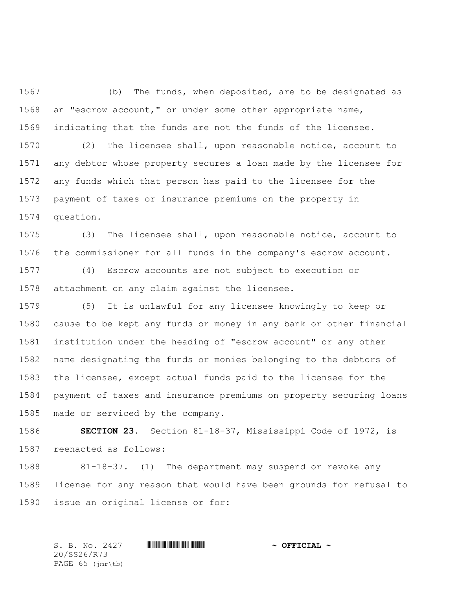(b) The funds, when deposited, are to be designated as an "escrow account," or under some other appropriate name, indicating that the funds are not the funds of the licensee.

 (2) The licensee shall, upon reasonable notice, account to any debtor whose property secures a loan made by the licensee for any funds which that person has paid to the licensee for the payment of taxes or insurance premiums on the property in question.

 (3) The licensee shall, upon reasonable notice, account to the commissioner for all funds in the company's escrow account.

 (4) Escrow accounts are not subject to execution or attachment on any claim against the licensee.

 (5) It is unlawful for any licensee knowingly to keep or cause to be kept any funds or money in any bank or other financial institution under the heading of "escrow account" or any other name designating the funds or monies belonging to the debtors of the licensee, except actual funds paid to the licensee for the payment of taxes and insurance premiums on property securing loans made or serviced by the company.

 **SECTION 23.** Section 81-18-37, Mississippi Code of 1972, is reenacted as follows:

 81-18-37. (1) The department may suspend or revoke any license for any reason that would have been grounds for refusal to issue an original license or for:

20/SS26/R73 PAGE 65 (jmr\tb)

S. B. No. 2427 \*SS26/R73\* **~ OFFICIAL ~**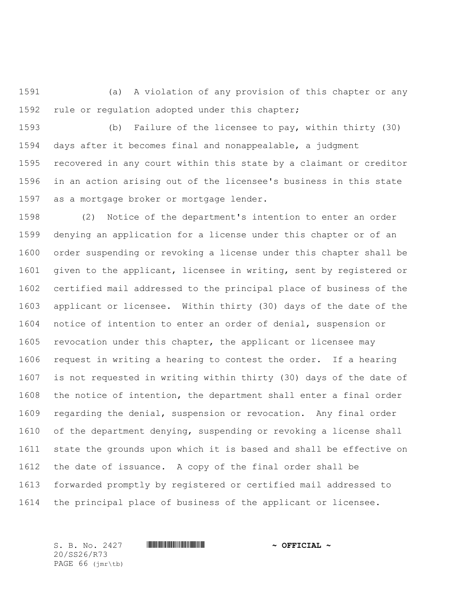(a) A violation of any provision of this chapter or any rule or regulation adopted under this chapter;

 (b) Failure of the licensee to pay, within thirty (30) days after it becomes final and nonappealable, a judgment recovered in any court within this state by a claimant or creditor in an action arising out of the licensee's business in this state as a mortgage broker or mortgage lender.

 (2) Notice of the department's intention to enter an order denying an application for a license under this chapter or of an order suspending or revoking a license under this chapter shall be given to the applicant, licensee in writing, sent by registered or certified mail addressed to the principal place of business of the applicant or licensee. Within thirty (30) days of the date of the notice of intention to enter an order of denial, suspension or revocation under this chapter, the applicant or licensee may request in writing a hearing to contest the order. If a hearing is not requested in writing within thirty (30) days of the date of the notice of intention, the department shall enter a final order regarding the denial, suspension or revocation. Any final order of the department denying, suspending or revoking a license shall state the grounds upon which it is based and shall be effective on the date of issuance. A copy of the final order shall be forwarded promptly by registered or certified mail addressed to the principal place of business of the applicant or licensee.

20/SS26/R73 PAGE 66 (jmr\tb)

S. B. No. 2427 \*SS26/R73\* **~ OFFICIAL ~**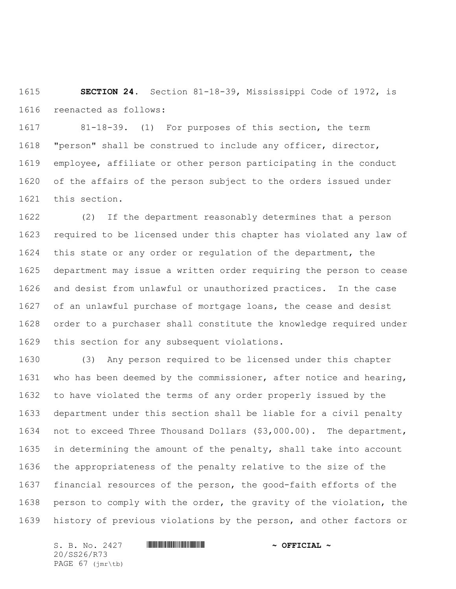**SECTION 24.** Section 81-18-39, Mississippi Code of 1972, is reenacted as follows:

 81-18-39. (1) For purposes of this section, the term "person" shall be construed to include any officer, director, employee, affiliate or other person participating in the conduct of the affairs of the person subject to the orders issued under this section.

 (2) If the department reasonably determines that a person required to be licensed under this chapter has violated any law of this state or any order or regulation of the department, the department may issue a written order requiring the person to cease and desist from unlawful or unauthorized practices. In the case of an unlawful purchase of mortgage loans, the cease and desist order to a purchaser shall constitute the knowledge required under this section for any subsequent violations.

 (3) Any person required to be licensed under this chapter who has been deemed by the commissioner, after notice and hearing, to have violated the terms of any order properly issued by the department under this section shall be liable for a civil penalty not to exceed Three Thousand Dollars (\$3,000.00). The department, in determining the amount of the penalty, shall take into account the appropriateness of the penalty relative to the size of the financial resources of the person, the good-faith efforts of the person to comply with the order, the gravity of the violation, the history of previous violations by the person, and other factors or

S. B. No. 2427 **\*\*\* INSTERNAL # ^ OFFICIAL ~** 20/SS26/R73 PAGE 67 (jmr\tb)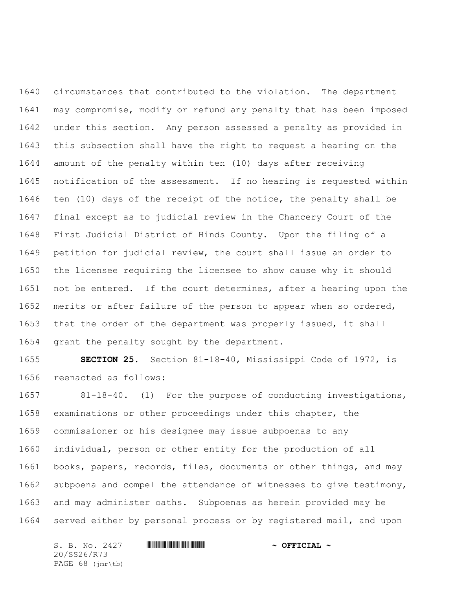circumstances that contributed to the violation. The department may compromise, modify or refund any penalty that has been imposed under this section. Any person assessed a penalty as provided in this subsection shall have the right to request a hearing on the amount of the penalty within ten (10) days after receiving notification of the assessment. If no hearing is requested within ten (10) days of the receipt of the notice, the penalty shall be final except as to judicial review in the Chancery Court of the First Judicial District of Hinds County. Upon the filing of a petition for judicial review, the court shall issue an order to the licensee requiring the licensee to show cause why it should not be entered. If the court determines, after a hearing upon the merits or after failure of the person to appear when so ordered, that the order of the department was properly issued, it shall grant the penalty sought by the department.

 **SECTION 25.** Section 81-18-40, Mississippi Code of 1972, is reenacted as follows:

 81-18-40. (1) For the purpose of conducting investigations, examinations or other proceedings under this chapter, the commissioner or his designee may issue subpoenas to any individual, person or other entity for the production of all books, papers, records, files, documents or other things, and may subpoena and compel the attendance of witnesses to give testimony, and may administer oaths. Subpoenas as herein provided may be served either by personal process or by registered mail, and upon

S. B. No. 2427 **\*\*\* AND \*\*\* AND \*\*\* AND \*\*\* OFFICIAL ~\*** 20/SS26/R73 PAGE 68 (jmr\tb)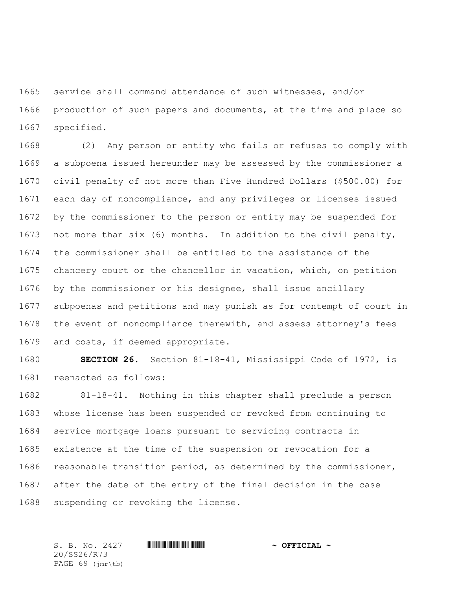service shall command attendance of such witnesses, and/or production of such papers and documents, at the time and place so specified.

 (2) Any person or entity who fails or refuses to comply with a subpoena issued hereunder may be assessed by the commissioner a civil penalty of not more than Five Hundred Dollars (\$500.00) for each day of noncompliance, and any privileges or licenses issued by the commissioner to the person or entity may be suspended for not more than six (6) months. In addition to the civil penalty, the commissioner shall be entitled to the assistance of the chancery court or the chancellor in vacation, which, on petition by the commissioner or his designee, shall issue ancillary subpoenas and petitions and may punish as for contempt of court in the event of noncompliance therewith, and assess attorney's fees and costs, if deemed appropriate.

 **SECTION 26.** Section 81-18-41, Mississippi Code of 1972, is reenacted as follows:

 81-18-41. Nothing in this chapter shall preclude a person whose license has been suspended or revoked from continuing to service mortgage loans pursuant to servicing contracts in existence at the time of the suspension or revocation for a reasonable transition period, as determined by the commissioner, after the date of the entry of the final decision in the case suspending or revoking the license.

S. B. No. 2427 \*SS26/R73\* **~ OFFICIAL ~** 20/SS26/R73 PAGE 69 (jmr\tb)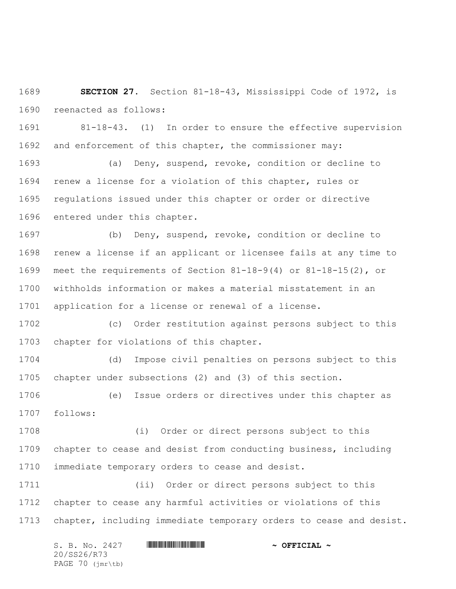**SECTION 27.** Section 81-18-43, Mississippi Code of 1972, is reenacted as follows:

 81-18-43. (1) In order to ensure the effective supervision and enforcement of this chapter, the commissioner may:

 (a) Deny, suspend, revoke, condition or decline to renew a license for a violation of this chapter, rules or regulations issued under this chapter or order or directive entered under this chapter.

 (b) Deny, suspend, revoke, condition or decline to renew a license if an applicant or licensee fails at any time to meet the requirements of Section 81-18-9(4) or 81-18-15(2), or withholds information or makes a material misstatement in an application for a license or renewal of a license.

 (c) Order restitution against persons subject to this chapter for violations of this chapter.

 (d) Impose civil penalties on persons subject to this chapter under subsections (2) and (3) of this section.

 (e) Issue orders or directives under this chapter as follows:

 (i) Order or direct persons subject to this chapter to cease and desist from conducting business, including immediate temporary orders to cease and desist.

 (ii) Order or direct persons subject to this chapter to cease any harmful activities or violations of this chapter, including immediate temporary orders to cease and desist.

S. B. No. 2427 **\*\*\* INSTERNAL # ^ OFFICIAL ~** 20/SS26/R73 PAGE 70 (jmr\tb)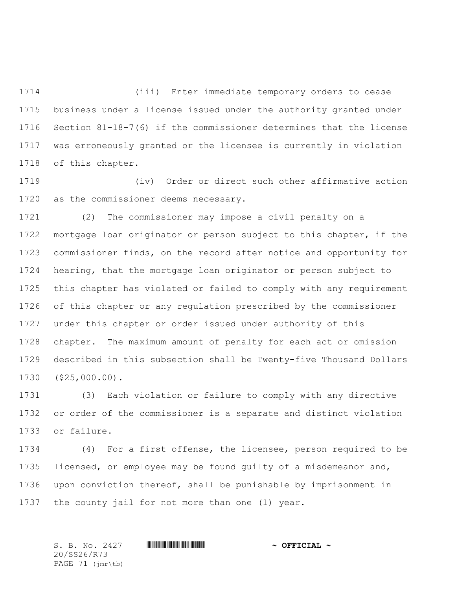(iii) Enter immediate temporary orders to cease business under a license issued under the authority granted under Section 81-18-7(6) if the commissioner determines that the license was erroneously granted or the licensee is currently in violation of this chapter.

 (iv) Order or direct such other affirmative action as the commissioner deems necessary.

 (2) The commissioner may impose a civil penalty on a mortgage loan originator or person subject to this chapter, if the commissioner finds, on the record after notice and opportunity for hearing, that the mortgage loan originator or person subject to this chapter has violated or failed to comply with any requirement of this chapter or any regulation prescribed by the commissioner under this chapter or order issued under authority of this chapter. The maximum amount of penalty for each act or omission described in this subsection shall be Twenty-five Thousand Dollars (\$25,000.00).

 (3) Each violation or failure to comply with any directive or order of the commissioner is a separate and distinct violation or failure.

 (4) For a first offense, the licensee, person required to be 1735 licensed, or employee may be found quilty of a misdemeanor and, upon conviction thereof, shall be punishable by imprisonment in the county jail for not more than one (1) year.

S. B. No. 2427 \*SS26/R73\* **~ OFFICIAL ~** 20/SS26/R73 PAGE 71 (jmr\tb)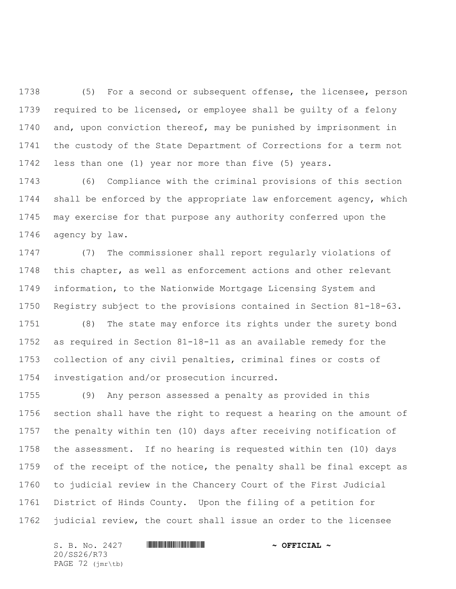(5) For a second or subsequent offense, the licensee, person required to be licensed, or employee shall be guilty of a felony and, upon conviction thereof, may be punished by imprisonment in the custody of the State Department of Corrections for a term not less than one (1) year nor more than five (5) years.

 (6) Compliance with the criminal provisions of this section shall be enforced by the appropriate law enforcement agency, which may exercise for that purpose any authority conferred upon the agency by law.

 (7) The commissioner shall report regularly violations of this chapter, as well as enforcement actions and other relevant information, to the Nationwide Mortgage Licensing System and Registry subject to the provisions contained in Section 81-18-63. (8) The state may enforce its rights under the surety bond as required in Section 81-18-11 as an available remedy for the collection of any civil penalties, criminal fines or costs of investigation and/or prosecution incurred.

 (9) Any person assessed a penalty as provided in this section shall have the right to request a hearing on the amount of the penalty within ten (10) days after receiving notification of the assessment. If no hearing is requested within ten (10) days of the receipt of the notice, the penalty shall be final except as to judicial review in the Chancery Court of the First Judicial District of Hinds County. Upon the filing of a petition for judicial review, the court shall issue an order to the licensee

S. B. No. 2427 **\*\*\* INSTERNAL # ^ OFFICIAL ~** 20/SS26/R73 PAGE 72 (jmr\tb)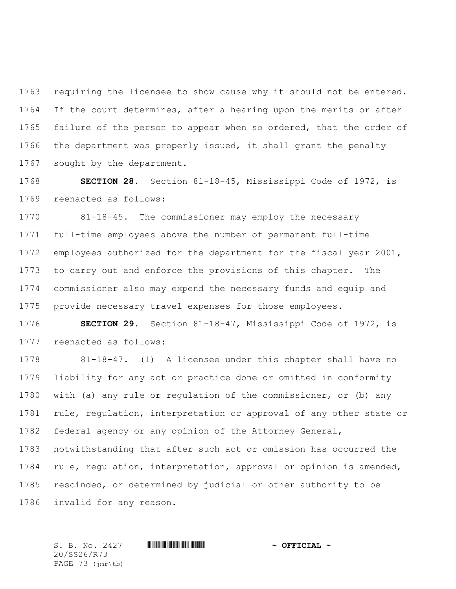requiring the licensee to show cause why it should not be entered. If the court determines, after a hearing upon the merits or after 1765 failure of the person to appear when so ordered, that the order of the department was properly issued, it shall grant the penalty sought by the department.

 **SECTION 28.** Section 81-18-45, Mississippi Code of 1972, is reenacted as follows:

 81-18-45. The commissioner may employ the necessary full-time employees above the number of permanent full-time employees authorized for the department for the fiscal year 2001, to carry out and enforce the provisions of this chapter. The commissioner also may expend the necessary funds and equip and provide necessary travel expenses for those employees.

 **SECTION 29.** Section 81-18-47, Mississippi Code of 1972, is reenacted as follows:

 81-18-47. (1) A licensee under this chapter shall have no liability for any act or practice done or omitted in conformity with (a) any rule or regulation of the commissioner, or (b) any 1781 rule, regulation, interpretation or approval of any other state or federal agency or any opinion of the Attorney General, notwithstanding that after such act or omission has occurred the rule, regulation, interpretation, approval or opinion is amended, rescinded, or determined by judicial or other authority to be invalid for any reason.

20/SS26/R73 PAGE 73 (jmr\tb)

S. B. No. 2427 \*SS26/R73\* **~ OFFICIAL ~**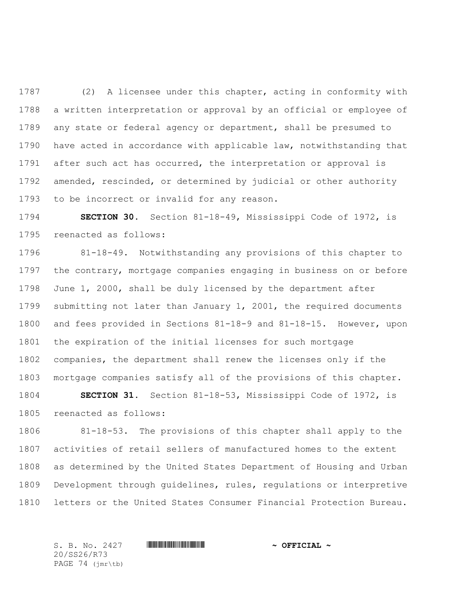(2) A licensee under this chapter, acting in conformity with a written interpretation or approval by an official or employee of any state or federal agency or department, shall be presumed to have acted in accordance with applicable law, notwithstanding that after such act has occurred, the interpretation or approval is amended, rescinded, or determined by judicial or other authority to be incorrect or invalid for any reason.

 **SECTION 30.** Section 81-18-49, Mississippi Code of 1972, is reenacted as follows:

 81-18-49. Notwithstanding any provisions of this chapter to the contrary, mortgage companies engaging in business on or before June 1, 2000, shall be duly licensed by the department after submitting not later than January 1, 2001, the required documents and fees provided in Sections 81-18-9 and 81-18-15. However, upon the expiration of the initial licenses for such mortgage companies, the department shall renew the licenses only if the mortgage companies satisfy all of the provisions of this chapter.

 **SECTION 31.** Section 81-18-53, Mississippi Code of 1972, is reenacted as follows:

 81-18-53. The provisions of this chapter shall apply to the activities of retail sellers of manufactured homes to the extent as determined by the United States Department of Housing and Urban Development through guidelines, rules, regulations or interpretive letters or the United States Consumer Financial Protection Bureau.

20/SS26/R73 PAGE 74 (jmr\tb)

S. B. No. 2427 \*SS26/R73\* **~ OFFICIAL ~**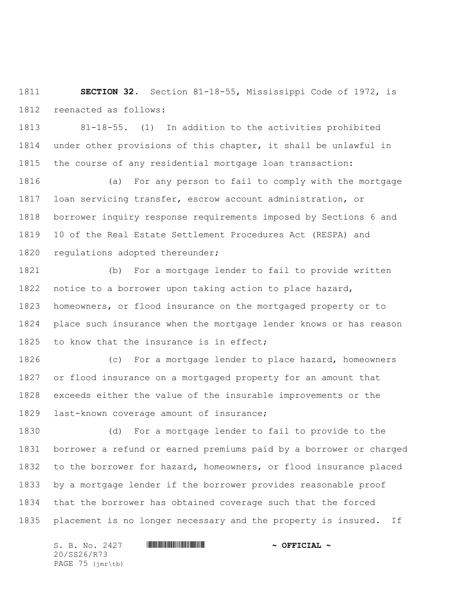**SECTION 32.** Section 81-18-55, Mississippi Code of 1972, is reenacted as follows:

 81-18-55. (1) In addition to the activities prohibited under other provisions of this chapter, it shall be unlawful in the course of any residential mortgage loan transaction:

 (a) For any person to fail to comply with the mortgage loan servicing transfer, escrow account administration, or borrower inquiry response requirements imposed by Sections 6 and 10 of the Real Estate Settlement Procedures Act (RESPA) and 1820 regulations adopted thereunder;

 (b) For a mortgage lender to fail to provide written notice to a borrower upon taking action to place hazard, homeowners, or flood insurance on the mortgaged property or to place such insurance when the mortgage lender knows or has reason 1825 to know that the insurance is in effect;

 (c) For a mortgage lender to place hazard, homeowners or flood insurance on a mortgaged property for an amount that exceeds either the value of the insurable improvements or the last-known coverage amount of insurance;

 (d) For a mortgage lender to fail to provide to the borrower a refund or earned premiums paid by a borrower or charged to the borrower for hazard, homeowners, or flood insurance placed by a mortgage lender if the borrower provides reasonable proof that the borrower has obtained coverage such that the forced placement is no longer necessary and the property is insured. If

S. B. No. 2427 **\*\*\* INSTERNAL # ^ OFFICIAL ~** 20/SS26/R73 PAGE 75 (jmr\tb)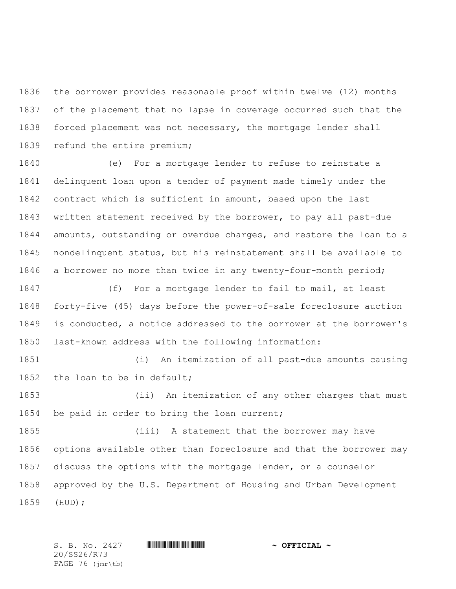the borrower provides reasonable proof within twelve (12) months of the placement that no lapse in coverage occurred such that the forced placement was not necessary, the mortgage lender shall refund the entire premium;

 (e) For a mortgage lender to refuse to reinstate a delinquent loan upon a tender of payment made timely under the contract which is sufficient in amount, based upon the last written statement received by the borrower, to pay all past-due amounts, outstanding or overdue charges, and restore the loan to a nondelinquent status, but his reinstatement shall be available to a borrower no more than twice in any twenty-four-month period;

 (f) For a mortgage lender to fail to mail, at least forty-five (45) days before the power-of-sale foreclosure auction is conducted, a notice addressed to the borrower at the borrower's last-known address with the following information:

 (i) An itemization of all past-due amounts causing 1852 the loan to be in default;

 (ii) An itemization of any other charges that must be paid in order to bring the loan current;

 (iii) A statement that the borrower may have options available other than foreclosure and that the borrower may discuss the options with the mortgage lender, or a counselor approved by the U.S. Department of Housing and Urban Development (HUD);

20/SS26/R73 PAGE 76 (jmr\tb)

S. B. No. 2427 **\*\*\* INSTERNAL # ^ OFFICIAL ~**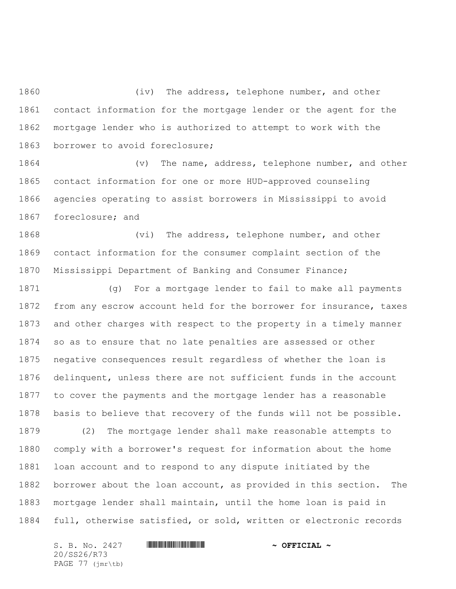1860 (iv) The address, telephone number, and other contact information for the mortgage lender or the agent for the mortgage lender who is authorized to attempt to work with the borrower to avoid foreclosure;

1864 (v) The name, address, telephone number, and other contact information for one or more HUD-approved counseling agencies operating to assist borrowers in Mississippi to avoid foreclosure; and

1868 (vi) The address, telephone number, and other contact information for the consumer complaint section of the Mississippi Department of Banking and Consumer Finance;

 (g) For a mortgage lender to fail to make all payments from any escrow account held for the borrower for insurance, taxes and other charges with respect to the property in a timely manner so as to ensure that no late penalties are assessed or other negative consequences result regardless of whether the loan is delinquent, unless there are not sufficient funds in the account to cover the payments and the mortgage lender has a reasonable basis to believe that recovery of the funds will not be possible. (2) The mortgage lender shall make reasonable attempts to comply with a borrower's request for information about the home loan account and to respond to any dispute initiated by the borrower about the loan account, as provided in this section. The mortgage lender shall maintain, until the home loan is paid in full, otherwise satisfied, or sold, written or electronic records

S. B. No. 2427 **\*\*\* INSTERNAL # ^ OFFICIAL ~** 20/SS26/R73 PAGE 77 (jmr\tb)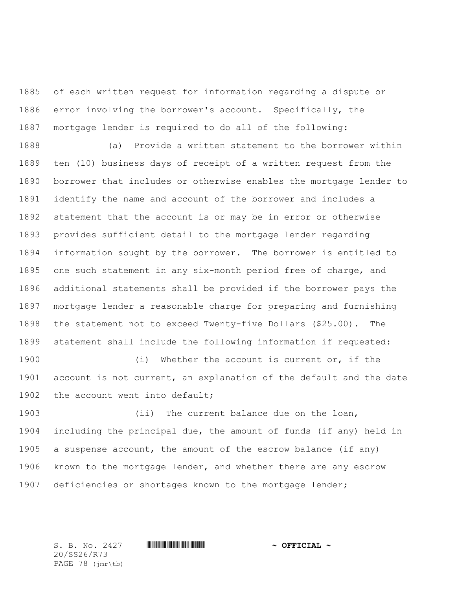of each written request for information regarding a dispute or error involving the borrower's account. Specifically, the mortgage lender is required to do all of the following:

 (a) Provide a written statement to the borrower within ten (10) business days of receipt of a written request from the borrower that includes or otherwise enables the mortgage lender to identify the name and account of the borrower and includes a statement that the account is or may be in error or otherwise provides sufficient detail to the mortgage lender regarding information sought by the borrower. The borrower is entitled to one such statement in any six-month period free of charge, and additional statements shall be provided if the borrower pays the mortgage lender a reasonable charge for preparing and furnishing the statement not to exceed Twenty-five Dollars (\$25.00). The statement shall include the following information if requested:

1900 (i) Whether the account is current or, if the account is not current, an explanation of the default and the date 1902 the account went into default;

1903 (ii) The current balance due on the loan, including the principal due, the amount of funds (if any) held in a suspense account, the amount of the escrow balance (if any) known to the mortgage lender, and whether there are any escrow deficiencies or shortages known to the mortgage lender;

20/SS26/R73 PAGE 78 (jmr\tb)

S. B. No. 2427 **\*\*\* INSTERNAL # ^ OFFICIAL ~**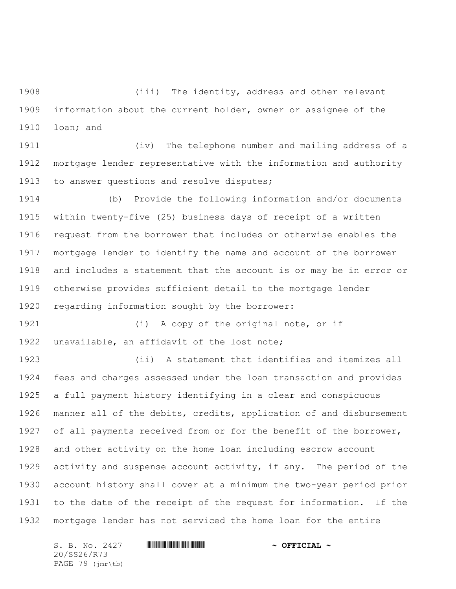(iii) The identity, address and other relevant information about the current holder, owner or assignee of the loan; and

 (iv) The telephone number and mailing address of a mortgage lender representative with the information and authority to answer questions and resolve disputes;

 (b) Provide the following information and/or documents within twenty-five (25) business days of receipt of a written request from the borrower that includes or otherwise enables the mortgage lender to identify the name and account of the borrower and includes a statement that the account is or may be in error or otherwise provides sufficient detail to the mortgage lender regarding information sought by the borrower:

1921 (i) A copy of the original note, or if unavailable, an affidavit of the lost note;

 (ii) A statement that identifies and itemizes all fees and charges assessed under the loan transaction and provides a full payment history identifying in a clear and conspicuous manner all of the debits, credits, application of and disbursement of all payments received from or for the benefit of the borrower, and other activity on the home loan including escrow account activity and suspense account activity, if any. The period of the account history shall cover at a minimum the two-year period prior to the date of the receipt of the request for information. If the mortgage lender has not serviced the home loan for the entire

S. B. No. 2427 **\*\*\* INSTERNAL # ^ OFFICIAL ~** 20/SS26/R73 PAGE 79 (jmr\tb)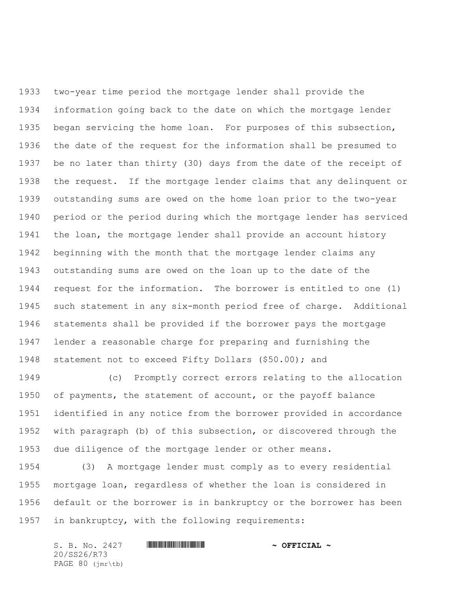two-year time period the mortgage lender shall provide the information going back to the date on which the mortgage lender began servicing the home loan. For purposes of this subsection, the date of the request for the information shall be presumed to be no later than thirty (30) days from the date of the receipt of the request. If the mortgage lender claims that any delinquent or outstanding sums are owed on the home loan prior to the two-year period or the period during which the mortgage lender has serviced the loan, the mortgage lender shall provide an account history beginning with the month that the mortgage lender claims any outstanding sums are owed on the loan up to the date of the request for the information. The borrower is entitled to one (1) such statement in any six-month period free of charge. Additional statements shall be provided if the borrower pays the mortgage lender a reasonable charge for preparing and furnishing the statement not to exceed Fifty Dollars (\$50.00); and

 (c) Promptly correct errors relating to the allocation of payments, the statement of account, or the payoff balance identified in any notice from the borrower provided in accordance with paragraph (b) of this subsection, or discovered through the due diligence of the mortgage lender or other means.

 (3) A mortgage lender must comply as to every residential mortgage loan, regardless of whether the loan is considered in default or the borrower is in bankruptcy or the borrower has been in bankruptcy, with the following requirements:

S. B. No. 2427 **\*\*\* AND \*\*\* AND \*\*\* AND \*\*\* OFFICIAL ~\*** 20/SS26/R73 PAGE 80 (jmr\tb)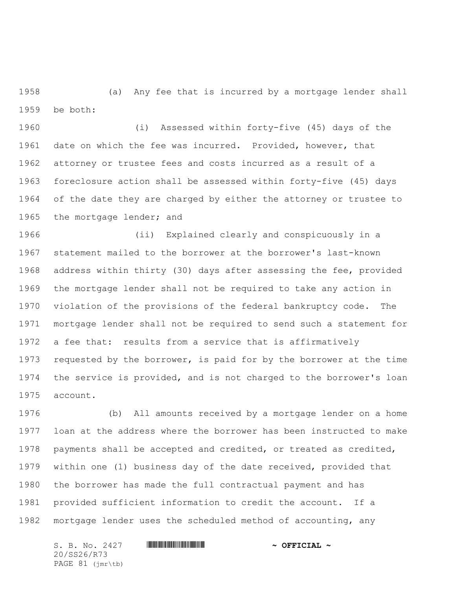(a) Any fee that is incurred by a mortgage lender shall be both:

 (i) Assessed within forty-five (45) days of the date on which the fee was incurred. Provided, however, that attorney or trustee fees and costs incurred as a result of a foreclosure action shall be assessed within forty-five (45) days of the date they are charged by either the attorney or trustee to 1965 the mortgage lender; and

 (ii) Explained clearly and conspicuously in a statement mailed to the borrower at the borrower's last-known address within thirty (30) days after assessing the fee, provided the mortgage lender shall not be required to take any action in violation of the provisions of the federal bankruptcy code. The mortgage lender shall not be required to send such a statement for a fee that: results from a service that is affirmatively requested by the borrower, is paid for by the borrower at the time the service is provided, and is not charged to the borrower's loan account.

 (b) All amounts received by a mortgage lender on a home loan at the address where the borrower has been instructed to make payments shall be accepted and credited, or treated as credited, within one (1) business day of the date received, provided that the borrower has made the full contractual payment and has provided sufficient information to credit the account. If a mortgage lender uses the scheduled method of accounting, any

S. B. No. 2427 **\*\*\* INSTERNAL # ^ OFFICIAL ~** 20/SS26/R73 PAGE 81 (jmr\tb)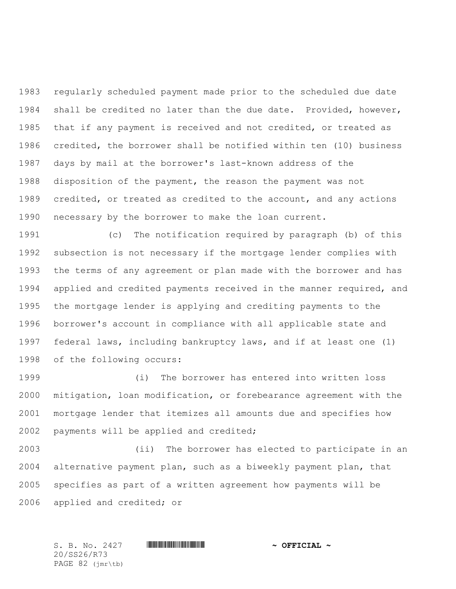regularly scheduled payment made prior to the scheduled due date shall be credited no later than the due date. Provided, however, that if any payment is received and not credited, or treated as credited, the borrower shall be notified within ten (10) business days by mail at the borrower's last-known address of the disposition of the payment, the reason the payment was not credited, or treated as credited to the account, and any actions necessary by the borrower to make the loan current.

 (c) The notification required by paragraph (b) of this subsection is not necessary if the mortgage lender complies with the terms of any agreement or plan made with the borrower and has applied and credited payments received in the manner required, and the mortgage lender is applying and crediting payments to the borrower's account in compliance with all applicable state and federal laws, including bankruptcy laws, and if at least one (1) of the following occurs:

 (i) The borrower has entered into written loss mitigation, loan modification, or forebearance agreement with the mortgage lender that itemizes all amounts due and specifies how payments will be applied and credited;

 (ii) The borrower has elected to participate in an alternative payment plan, such as a biweekly payment plan, that specifies as part of a written agreement how payments will be applied and credited; or

S. B. No. 2427 \*SS26/R73\* **~ OFFICIAL ~** 20/SS26/R73 PAGE 82 (jmr\tb)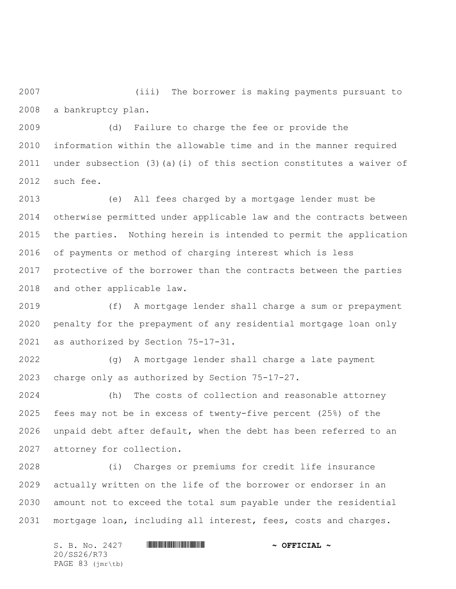(iii) The borrower is making payments pursuant to a bankruptcy plan.

 (d) Failure to charge the fee or provide the information within the allowable time and in the manner required under subsection (3)(a)(i) of this section constitutes a waiver of such fee.

 (e) All fees charged by a mortgage lender must be otherwise permitted under applicable law and the contracts between the parties. Nothing herein is intended to permit the application of payments or method of charging interest which is less protective of the borrower than the contracts between the parties and other applicable law.

 (f) A mortgage lender shall charge a sum or prepayment penalty for the prepayment of any residential mortgage loan only as authorized by Section 75-17-31.

 (g) A mortgage lender shall charge a late payment charge only as authorized by Section 75-17-27.

 (h) The costs of collection and reasonable attorney fees may not be in excess of twenty-five percent (25%) of the unpaid debt after default, when the debt has been referred to an attorney for collection.

 (i) Charges or premiums for credit life insurance actually written on the life of the borrower or endorser in an amount not to exceed the total sum payable under the residential mortgage loan, including all interest, fees, costs and charges.

S. B. No. 2427 **\*\*\* INSTERNAL # ^ OFFICIAL ~** 20/SS26/R73 PAGE 83 (jmr\tb)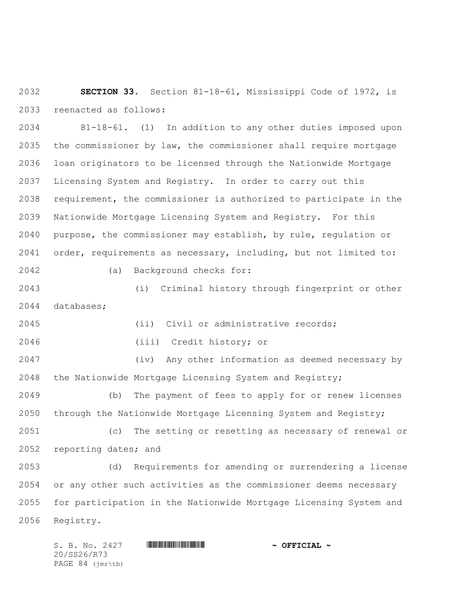**SECTION 33.** Section 81-18-61, Mississippi Code of 1972, is reenacted as follows:

 81-18-61. (1) In addition to any other duties imposed upon the commissioner by law, the commissioner shall require mortgage loan originators to be licensed through the Nationwide Mortgage Licensing System and Registry. In order to carry out this requirement, the commissioner is authorized to participate in the Nationwide Mortgage Licensing System and Registry. For this purpose, the commissioner may establish, by rule, regulation or order, requirements as necessary, including, but not limited to: (a) Background checks for:

 (i) Criminal history through fingerprint or other databases;

(ii) Civil or administrative records;

(iii) Credit history; or

 (iv) Any other information as deemed necessary by the Nationwide Mortgage Licensing System and Registry;

 (b) The payment of fees to apply for or renew licenses through the Nationwide Mortgage Licensing System and Registry;

 (c) The setting or resetting as necessary of renewal or reporting dates; and

 (d) Requirements for amending or surrendering a license or any other such activities as the commissioner deems necessary for participation in the Nationwide Mortgage Licensing System and Registry.

S. B. No. 2427 **\*\*\* INSTERNAL # ^ OFFICIAL ~** 20/SS26/R73 PAGE 84 (jmr\tb)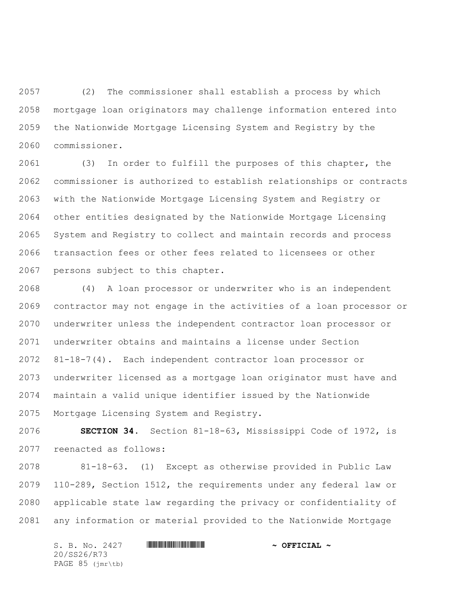(2) The commissioner shall establish a process by which mortgage loan originators may challenge information entered into the Nationwide Mortgage Licensing System and Registry by the commissioner.

 (3) In order to fulfill the purposes of this chapter, the commissioner is authorized to establish relationships or contracts with the Nationwide Mortgage Licensing System and Registry or other entities designated by the Nationwide Mortgage Licensing System and Registry to collect and maintain records and process transaction fees or other fees related to licensees or other persons subject to this chapter.

 (4) A loan processor or underwriter who is an independent contractor may not engage in the activities of a loan processor or underwriter unless the independent contractor loan processor or underwriter obtains and maintains a license under Section 81-18-7(4). Each independent contractor loan processor or underwriter licensed as a mortgage loan originator must have and maintain a valid unique identifier issued by the Nationwide Mortgage Licensing System and Registry.

 **SECTION 34.** Section 81-18-63, Mississippi Code of 1972, is reenacted as follows:

 81-18-63. (1) Except as otherwise provided in Public Law 110-289, Section 1512, the requirements under any federal law or applicable state law regarding the privacy or confidentiality of any information or material provided to the Nationwide Mortgage

S. B. No. 2427 **\*\*\* INSTERNAL # ^ OFFICIAL ~** 20/SS26/R73 PAGE 85 (jmr\tb)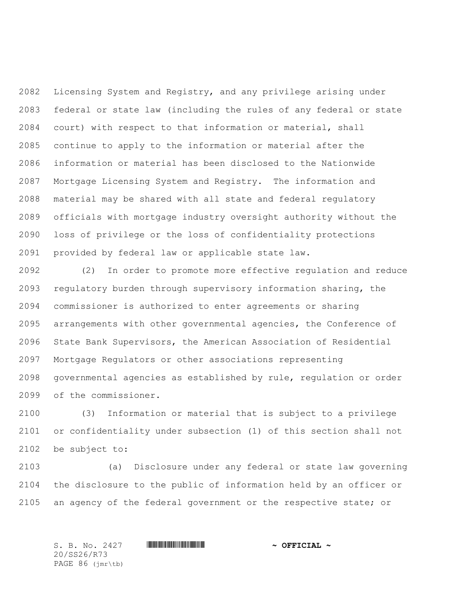Licensing System and Registry, and any privilege arising under federal or state law (including the rules of any federal or state court) with respect to that information or material, shall continue to apply to the information or material after the information or material has been disclosed to the Nationwide Mortgage Licensing System and Registry. The information and material may be shared with all state and federal regulatory officials with mortgage industry oversight authority without the loss of privilege or the loss of confidentiality protections provided by federal law or applicable state law.

 (2) In order to promote more effective regulation and reduce regulatory burden through supervisory information sharing, the commissioner is authorized to enter agreements or sharing arrangements with other governmental agencies, the Conference of State Bank Supervisors, the American Association of Residential Mortgage Regulators or other associations representing governmental agencies as established by rule, regulation or order of the commissioner.

 (3) Information or material that is subject to a privilege or confidentiality under subsection (1) of this section shall not be subject to:

 (a) Disclosure under any federal or state law governing the disclosure to the public of information held by an officer or 2105 an agency of the federal government or the respective state; or

20/SS26/R73 PAGE 86 (jmr\tb)

S. B. No. 2427 \*SS26/R73\* **~ OFFICIAL ~**